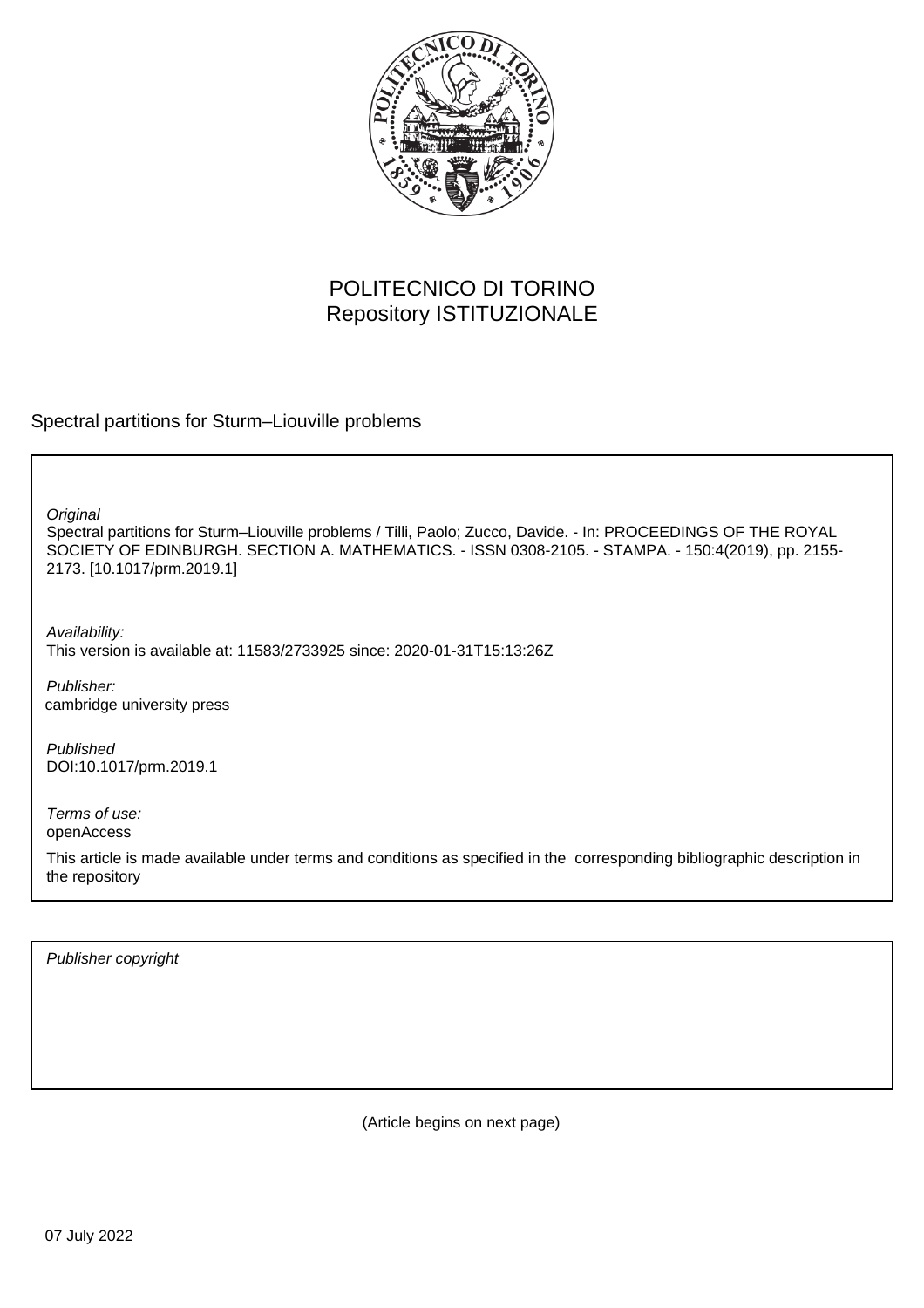

# POLITECNICO DI TORINO Repository ISTITUZIONALE

Spectral partitions for Sturm–Liouville problems

**Original** 

Spectral partitions for Sturm–Liouville problems / Tilli, Paolo; Zucco, Davide. - In: PROCEEDINGS OF THE ROYAL SOCIETY OF EDINBURGH. SECTION A. MATHEMATICS. - ISSN 0308-2105. - STAMPA. - 150:4(2019), pp. 2155- 2173. [10.1017/prm.2019.1]

Availability: This version is available at: 11583/2733925 since: 2020-01-31T15:13:26Z

Publisher: cambridge university press

Published DOI:10.1017/prm.2019.1

Terms of use: openAccess

This article is made available under terms and conditions as specified in the corresponding bibliographic description in the repository

Publisher copyright

(Article begins on next page)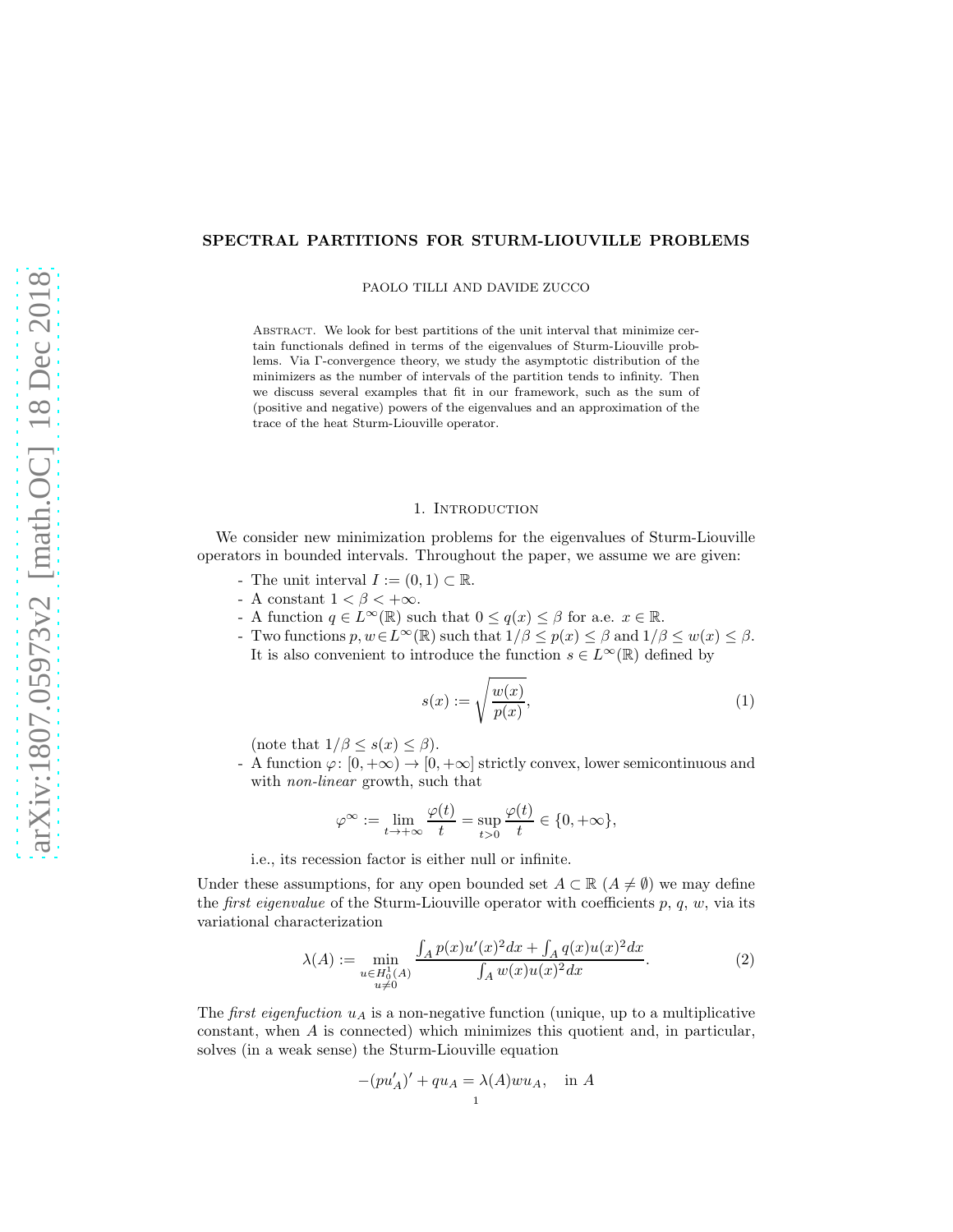## SPECTRAL PARTITIONS FOR STURM-LIOUVILLE PROBLEMS

PAOLO TILLI AND DAVIDE ZUCCO

Abstract. We look for best partitions of the unit interval that minimize certain functionals defined in terms of the eigenvalues of Sturm-Liouville problems. Via Γ-convergence theory, we study the asymptotic distribution of the minimizers as the number of intervals of the partition tends to infinity. Then we discuss several examples that fit in our framework, such as the sum of (positive and negative) powers of the eigenvalues and an approximation of the trace of the heat Sturm-Liouville operator.

### 1. Introduction

We consider new minimization problems for the eigenvalues of Sturm-Liouville operators in bounded intervals. Throughout the paper, we assume we are given:

- The unit interval  $I := (0, 1) \subset \mathbb{R}$ .
- A constant  $1 < \beta < +\infty$ .
- A function  $q \in L^{\infty}(\mathbb{R})$  such that  $0 \leq q(x) \leq \beta$  for a.e.  $x \in \mathbb{R}$ .
- Two functions  $p, w \in L^{\infty}(\mathbb{R})$  such that  $1/\beta \leq p(x) \leq \beta$  and  $1/\beta \leq w(x) \leq \beta$ . It is also convenient to introduce the function  $s \in L^{\infty}(\mathbb{R})$  defined by

$$
s(x) := \sqrt{\frac{w(x)}{p(x)}},\tag{1}
$$

(note that  $1/\beta \leq s(x) \leq \beta$ ).

- A function  $\varphi: [0, +\infty) \to [0, +\infty]$  strictly convex, lower semicontinuous and with *non-linear* growth, such that

$$
\varphi^{\infty} := \lim_{t \to +\infty} \frac{\varphi(t)}{t} = \sup_{t > 0} \frac{\varphi(t)}{t} \in \{0, +\infty\},\
$$

i.e., its recession factor is either null or infinite.

Under these assumptions, for any open bounded set  $A \subset \mathbb{R}$  ( $A \neq \emptyset$ ) we may define the *first eigenvalue* of the Sturm-Liouville operator with coefficients  $p, q, w$ , via its variational characterization

$$
\lambda(A) := \min_{\substack{u \in H_0^1(A) \\ u \neq 0}} \frac{\int_A p(x) u'(x)^2 dx + \int_A q(x) u(x)^2 dx}{\int_A w(x) u(x)^2 dx}.
$$
 (2)

The *first eigenfuction*  $u_A$  is a non-negative function (unique, up to a multiplicative constant, when  $A$  is connected) which minimizes this quotient and, in particular, solves (in a weak sense) the Sturm-Liouville equation

$$
-(pu'_A)' + qu_A = \lambda(A)wu_A, \text{ in } A
$$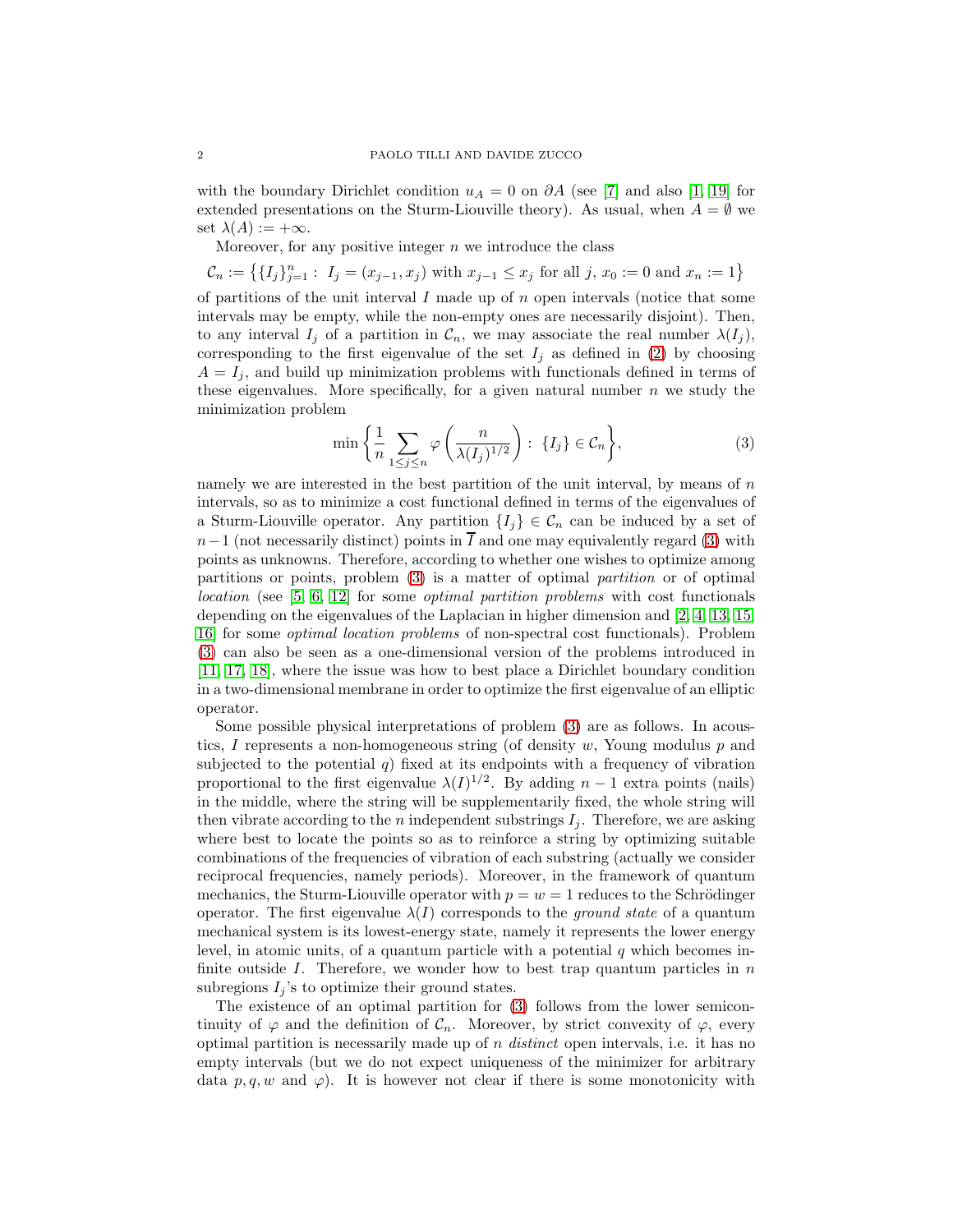with the boundary Dirichlet condition  $u_A = 0$  on  $\partial A$  (see [7] and also [1, 19] for extended presentations on the Sturm-Liouville theory). As usual, when  $A = \emptyset$  we set  $\lambda(A) := +\infty$ .

Moreover, for any positive integer  $n$  we introduce the class

 $\mathcal{C}_n := \left\{ \{I_j\}_{j=1}^n : I_j = (x_{j-1}, x_j) \text{ with } x_{j-1} \leq x_j \text{ for all } j, x_0 := 0 \text{ and } x_n := 1 \right\}$ of partitions of the unit interval  $I$  made up of  $n$  open intervals (notice that some intervals may be empty, while the non-empty ones are necessarily disjoint). Then, to any interval  $I_j$  of a partition in  $\mathcal{C}_n$ , we may associate the real number  $\lambda(I_j)$ , corresponding to the first eigenvalue of the set  $I_j$  as defined in (2) by choosing  $A = I_i$ , and build up minimization problems with functionals defined in terms of these eigenvalues. More specifically, for a given natural number  $n$  we study the minimization problem

$$
\min\left\{\frac{1}{n}\sum_{1\leq j\leq n}\varphi\left(\frac{n}{\lambda(I_j)^{1/2}}\right):\ \{I_j\}\in\mathcal{C}_n\right\},\tag{3}
$$

namely we are interested in the best partition of the unit interval, by means of  $n$ intervals, so as to minimize a cost functional defined in terms of the eigenvalues of a Sturm-Liouville operator. Any partition  $\{I_i\} \in \mathcal{C}_n$  can be induced by a set of  $n-1$  (not necessarily distinct) points in  $\overline{I}$  and one may equivalently regard (3) with points as unknowns. Therefore, according to whether one wishes to optimize among partitions or points, problem (3) is a matter of optimal partition or of optimal location (see [5, 6, 12] for some optimal partition problems with cost functionals depending on the eigenvalues of the Laplacian in higher dimension and [2, 4, 13, 15, 16] for some optimal location problems of non-spectral cost functionals). Problem (3) can also be seen as a one-dimensional version of the problems introduced in [11, 17, 18], where the issue was how to best place a Dirichlet boundary condition in a two-dimensional membrane in order to optimize the first eigenvalue of an elliptic operator.

Some possible physical interpretations of problem (3) are as follows. In acoustics, I represents a non-homogeneous string (of density  $w$ , Young modulus  $p$  and subjected to the potential  $q$ ) fixed at its endpoints with a frequency of vibration proportional to the first eigenvalue  $\lambda(I)^{1/2}$ . By adding  $n-1$  extra points (nails) in the middle, where the string will be supplementarily fixed, the whole string will then vibrate according to the *n* independent substrings  $I_i$ . Therefore, we are asking where best to locate the points so as to reinforce a string by optimizing suitable combinations of the frequencies of vibration of each substring (actually we consider reciprocal frequencies, namely periods). Moreover, in the framework of quantum mechanics, the Sturm-Liouville operator with  $p = w = 1$  reduces to the Schrödinger operator. The first eigenvalue  $\lambda(I)$  corresponds to the *ground state* of a quantum mechanical system is its lowest-energy state, namely it represents the lower energy level, in atomic units, of a quantum particle with a potential  $q$  which becomes infinite outside  $I$ . Therefore, we wonder how to best trap quantum particles in  $n$ subregions  $I_j$ 's to optimize their ground states.

The existence of an optimal partition for (3) follows from the lower semicontinuity of  $\varphi$  and the definition of  $\mathcal{C}_n$ . Moreover, by strict convexity of  $\varphi$ , every optimal partition is necessarily made up of n distinct open intervals, i.e. it has no empty intervals (but we do not expect uniqueness of the minimizer for arbitrary data  $p, q, w$  and  $\varphi$ ). It is however not clear if there is some monotonicity with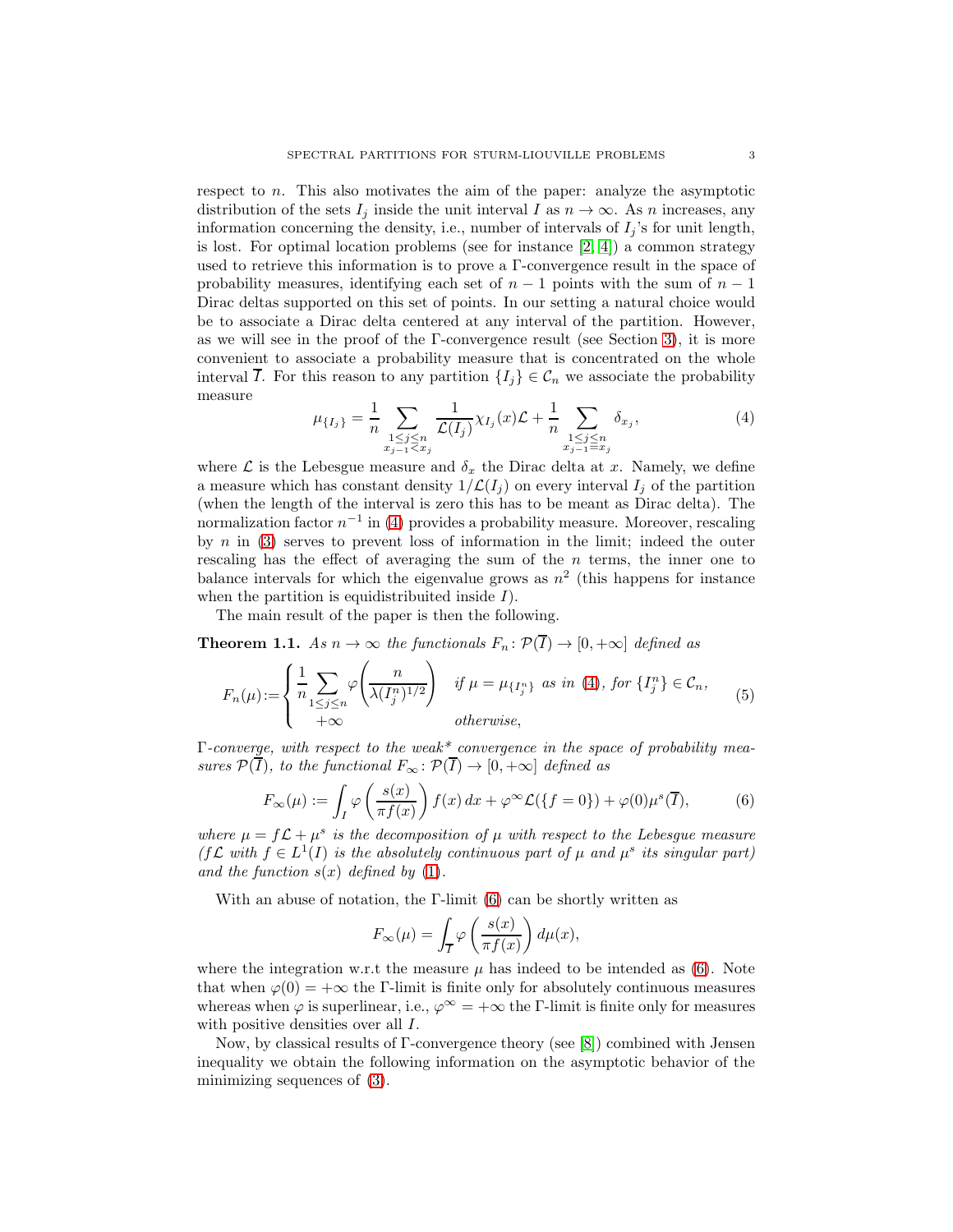respect to  $n$ . This also motivates the aim of the paper: analyze the asymptotic distribution of the sets  $I_j$  inside the unit interval I as  $n \to \infty$ . As n increases, any information concerning the density, i.e., number of intervals of  $I_i$ 's for unit length, is lost. For optimal location problems (see for instance [2, 4]) a common strategy used to retrieve this information is to prove a Γ-convergence result in the space of probability measures, identifying each set of  $n-1$  points with the sum of  $n-1$ Dirac deltas supported on this set of points. In our setting a natural choice would be to associate a Dirac delta centered at any interval of the partition. However, as we will see in the proof of the Γ-convergence result (see Section 3), it is more convenient to associate a probability measure that is concentrated on the whole interval  $\overline{I}$ . For this reason to any partition  $\{I_i\} \in \mathcal{C}_n$  we associate the probability measure

$$
\mu_{\{I_j\}} = \frac{1}{n} \sum_{\substack{1 \le j \le n \\ x_{j-1} \le x_j}} \frac{1}{\mathcal{L}(I_j)} \chi_{I_j}(x) \mathcal{L} + \frac{1}{n} \sum_{\substack{1 \le j \le n \\ x_{j-1} \equiv x_j}} \delta_{x_j},\tag{4}
$$

where  $\mathcal L$  is the Lebesgue measure and  $\delta_x$  the Dirac delta at x. Namely, we define a measure which has constant density  $1/\mathcal{L}(I_i)$  on every interval  $I_j$  of the partition (when the length of the interval is zero this has to be meant as Dirac delta). The normalization factor  $n^{-1}$  in (4) provides a probability measure. Moreover, rescaling by  $n$  in (3) serves to prevent loss of information in the limit; indeed the outer rescaling has the effect of averaging the sum of the  $n$  terms, the inner one to balance intervals for which the eigenvalue grows as  $n^2$  (this happens for instance when the partition is equidistribuited inside  $I$ ).

The main result of the paper is then the following.

**Theorem 1.1.** As  $n \to \infty$  the functionals  $F_n : \mathcal{P}(\overline{I}) \to [0, +\infty]$  defined as

$$
F_n(\mu) := \begin{cases} \frac{1}{n} \sum_{1 \le j \le n} \varphi\left(\frac{n}{\lambda(I_j^n)^{1/2}}\right) & \text{if } \mu = \mu_{\{I_j^n\}} \text{ as in (4), for } \{I_j^n\} \in \mathcal{C}_n, \\ +\infty & \text{otherwise,} \end{cases}
$$
(5)

 $\Gamma$ -converge, with respect to the weak\* convergence in the space of probability measures  $\mathcal{P}(\overline{I})$ , to the functional  $F_{\infty} : \mathcal{P}(\overline{I}) \to [0, +\infty]$  defined as

$$
F_{\infty}(\mu) := \int_{I} \varphi\left(\frac{s(x)}{\pi f(x)}\right) f(x) dx + \varphi^{\infty} \mathcal{L}(\lbrace f = 0 \rbrace) + \varphi(0) \mu^{s}(\overline{I}), \tag{6}
$$

where  $\mu = f \mathcal{L} + \mu^s$  is the decomposition of  $\mu$  with respect to the Lebesgue measure ( $f\mathcal{L}$  with  $f \in L^1(I)$  is the absolutely continuous part of  $\mu$  and  $\mu^s$  its singular part) and the function  $s(x)$  defined by (1).

With an abuse of notation, the  $\Gamma$ -limit (6) can be shortly written as

$$
F_{\infty}(\mu) = \int_{\overline{I}} \varphi\left(\frac{s(x)}{\pi f(x)}\right) d\mu(x),
$$

where the integration w.r.t the measure  $\mu$  has indeed to be intended as (6). Note that when  $\varphi(0) = +\infty$  the Γ-limit is finite only for absolutely continuous measures whereas when  $\varphi$  is superlinear, i.e.,  $\varphi^{\infty} = +\infty$  the Γ-limit is finite only for measures with positive densities over all  $I$ .

Now, by classical results of Γ-convergence theory (see [8]) combined with Jensen inequality we obtain the following information on the asymptotic behavior of the minimizing sequences of (3).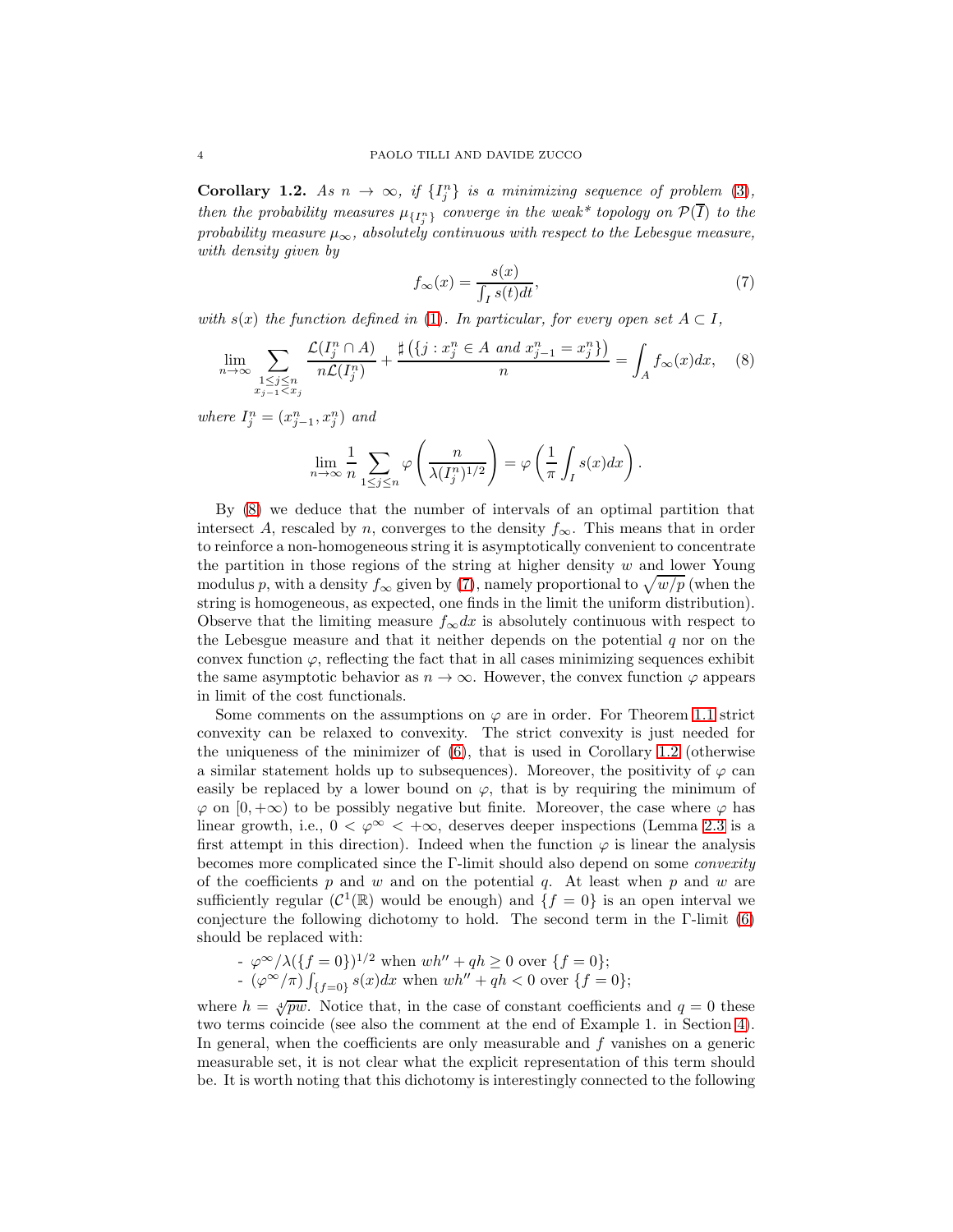**Corollary 1.2.** As  $n \to \infty$ , if  $\{I_j^n\}$  is a minimizing sequence of problem (3), then the probability measures  $\mu_{\{I_j^n\}}$  converge in the weak\* topology on  $\mathcal{P}(I)$  to the probability measure  $\mu_{\infty}$ , absolutely continuous with respect to the Lebesgue measure, with density given by

$$
f_{\infty}(x) = \frac{s(x)}{\int_{I} s(t)dt},\tag{7}
$$

with  $s(x)$  the function defined in (1). In particular, for every open set  $A \subset I$ .

$$
\lim_{n \to \infty} \sum_{\substack{1 \le j \le n \\ x_{j-1} < x_j}} \frac{\mathcal{L}(I_j^n \cap A)}{n\mathcal{L}(I_j^n)} + \frac{\sharp(\lbrace j : x_j^n \in A \text{ and } x_{j-1}^n = x_j^n \rbrace)}{n} = \int_A f_{\infty}(x) dx, \quad (8)
$$

where  $I_j^n = (x_{j-1}^n, x_j^n)$  and

$$
\lim_{n \to \infty} \frac{1}{n} \sum_{1 \le j \le n} \varphi \left( \frac{n}{\lambda (I_j^n)^{1/2}} \right) = \varphi \left( \frac{1}{\pi} \int_I s(x) dx \right).
$$

By (8) we deduce that the number of intervals of an optimal partition that intersect A, rescaled by n, converges to the density  $f_{\infty}$ . This means that in order to reinforce a non-homogeneous string it is asymptotically convenient to concentrate the partition in those regions of the string at higher density  $w$  and lower Young modulus p, with a density  $f_{\infty}$  given by (7), namely proportional to  $\sqrt{w/p}$  (when the string is homogeneous, as expected, one finds in the limit the uniform distribution). Observe that the limiting measure  $f_{\infty}dx$  is absolutely continuous with respect to the Lebesgue measure and that it neither depends on the potential  $q$  nor on the convex function  $\varphi$ , reflecting the fact that in all cases minimizing sequences exhibit the same asymptotic behavior as  $n \to \infty$ . However, the convex function  $\varphi$  appears in limit of the cost functionals.

Some comments on the assumptions on  $\varphi$  are in order. For Theorem 1.1 strict convexity can be relaxed to convexity. The strict convexity is just needed for the uniqueness of the minimizer of  $(6)$ , that is used in Corollary 1.2 (otherwise a similar statement holds up to subsequences). Moreover, the positivity of  $\varphi$  can easily be replaced by a lower bound on  $\varphi$ , that is by requiring the minimum of  $\varphi$  on  $[0, +\infty)$  to be possibly negative but finite. Moreover, the case where  $\varphi$  has linear growth, i.e.,  $0 < \varphi^{\infty} < +\infty$ , deserves deeper inspections (Lemma 2.3 is a first attempt in this direction). Indeed when the function  $\varphi$  is linear the analysis becomes more complicated since the Γ-limit should also depend on some *convexity* of the coefficients  $p$  and  $w$  and on the potential  $q$ . At least when  $p$  and  $w$  are sufficiently regular  $(C^1(\mathbb{R})$  would be enough) and  $\{f = 0\}$  is an open interval we conjecture the following dichotomy to hold. The second term in the Γ-limit (6) should be replaced with:

- 
$$
\varphi^{\infty}/\lambda(\lbrace f=0\rbrace)^{1/2}
$$
 when  $wh'' + qh \ge 0$  over  $\lbrace f=0\rbrace$ ;  
\n-  $(\varphi^{\infty}/\pi)\int_{\lbrace f=0\rbrace} s(x)dx$  when  $wh'' + qh < 0$  over  $\lbrace f=0\rbrace$ ;

where  $h = \sqrt[4]{pw}$ . Notice that, in the case of constant coefficients and  $q = 0$  these two terms coincide (see also the comment at the end of Example 1. in Section 4). In general, when the coefficients are only measurable and  $f$  vanishes on a generic measurable set, it is not clear what the explicit representation of this term should be. It is worth noting that this dichotomy is interestingly connected to the following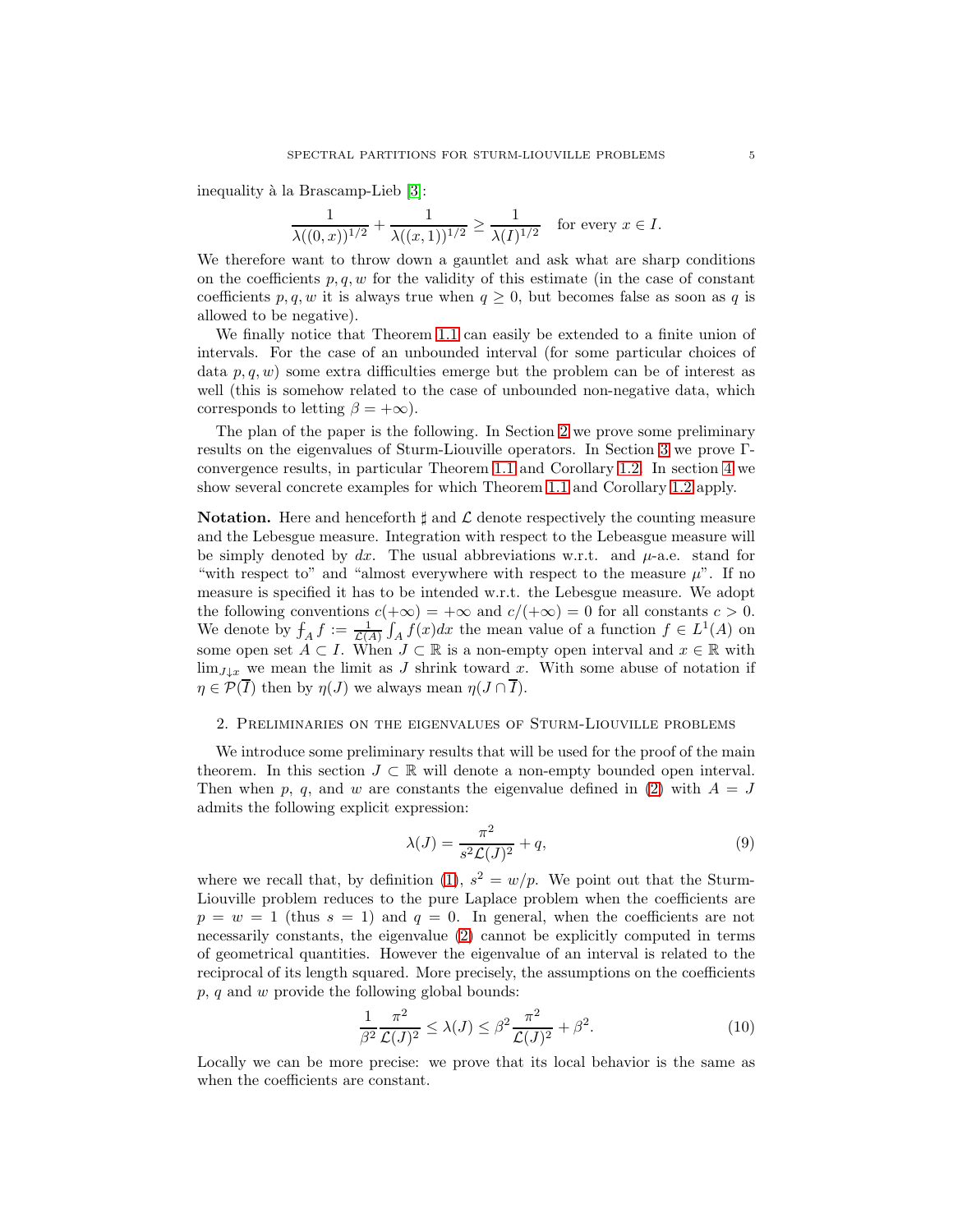inequality à la Brascamp-Lieb [3]:

$$
\frac{1}{\lambda((0,x))^{1/2}} + \frac{1}{\lambda((x,1))^{1/2}} \ge \frac{1}{\lambda(I)^{1/2}} \quad \text{for every } x \in I.
$$

We therefore want to throw down a gauntlet and ask what are sharp conditions on the coefficients  $p, q, w$  for the validity of this estimate (in the case of constant coefficients p, q, w it is always true when  $q \geq 0$ , but becomes false as soon as q is allowed to be negative).

We finally notice that Theorem 1.1 can easily be extended to a finite union of intervals. For the case of an unbounded interval (for some particular choices of data  $p, q, w$  some extra difficulties emerge but the problem can be of interest as well (this is somehow related to the case of unbounded non-negative data, which corresponds to letting  $\beta = +\infty$ ).

The plan of the paper is the following. In Section 2 we prove some preliminary results on the eigenvalues of Sturm-Liouville operators. In Section 3 we prove Γconvergence results, in particular Theorem 1.1 and Corollary 1.2. In section 4 we show several concrete examples for which Theorem 1.1 and Corollary 1.2 apply.

**Notation.** Here and henceforth  $\sharp$  and  $\mathcal{L}$  denote respectively the counting measure and the Lebesgue measure. Integration with respect to the Lebeasgue measure will be simply denoted by  $dx$ . The usual abbreviations w.r.t. and  $\mu$ -a.e. stand for "with respect to" and "almost everywhere with respect to the measure  $\mu$ ". If no measure is specified it has to be intended w.r.t. the Lebesgue measure. We adopt the following conventions  $c(+\infty) = +\infty$  and  $c/(\infty) = 0$  for all constants  $c > 0$ . We denote by  $f_A f := \frac{1}{\mathcal{L}(A)} \int_A f(x) dx$  the mean value of a function  $f \in L^1(A)$  on some open set  $A \subset I$ . When  $J \subset \mathbb{R}$  is a non-empty open interval and  $x \in \mathbb{R}$  with  $\lim_{J\downarrow x}$  we mean the limit as J shrink toward x. With some abuse of notation if  $\eta \in \mathcal{P}(\overline{I})$  then by  $\eta(J)$  we always mean  $\eta(J \cap \overline{I}).$ 

## 2. Preliminaries on the eigenvalues of Sturm-Liouville problems

We introduce some preliminary results that will be used for the proof of the main theorem. In this section  $J \subset \mathbb{R}$  will denote a non-empty bounded open interval. Then when p, q, and w are constants the eigenvalue defined in (2) with  $A = J$ admits the following explicit expression:

$$
\lambda(J) = \frac{\pi^2}{s^2 \mathcal{L}(J)^2} + q,\tag{9}
$$

where we recall that, by definition (1),  $s^2 = w/p$ . We point out that the Sturm-Liouville problem reduces to the pure Laplace problem when the coefficients are  $p = w = 1$  (thus  $s = 1$ ) and  $q = 0$ . In general, when the coefficients are not necessarily constants, the eigenvalue (2) cannot be explicitly computed in terms of geometrical quantities. However the eigenvalue of an interval is related to the reciprocal of its length squared. More precisely, the assumptions on the coefficients  $p, q$  and  $w$  provide the following global bounds:

$$
\frac{1}{\beta^2} \frac{\pi^2}{\mathcal{L}(J)^2} \le \lambda(J) \le \beta^2 \frac{\pi^2}{\mathcal{L}(J)^2} + \beta^2.
$$
 (10)

Locally we can be more precise: we prove that its local behavior is the same as when the coefficients are constant.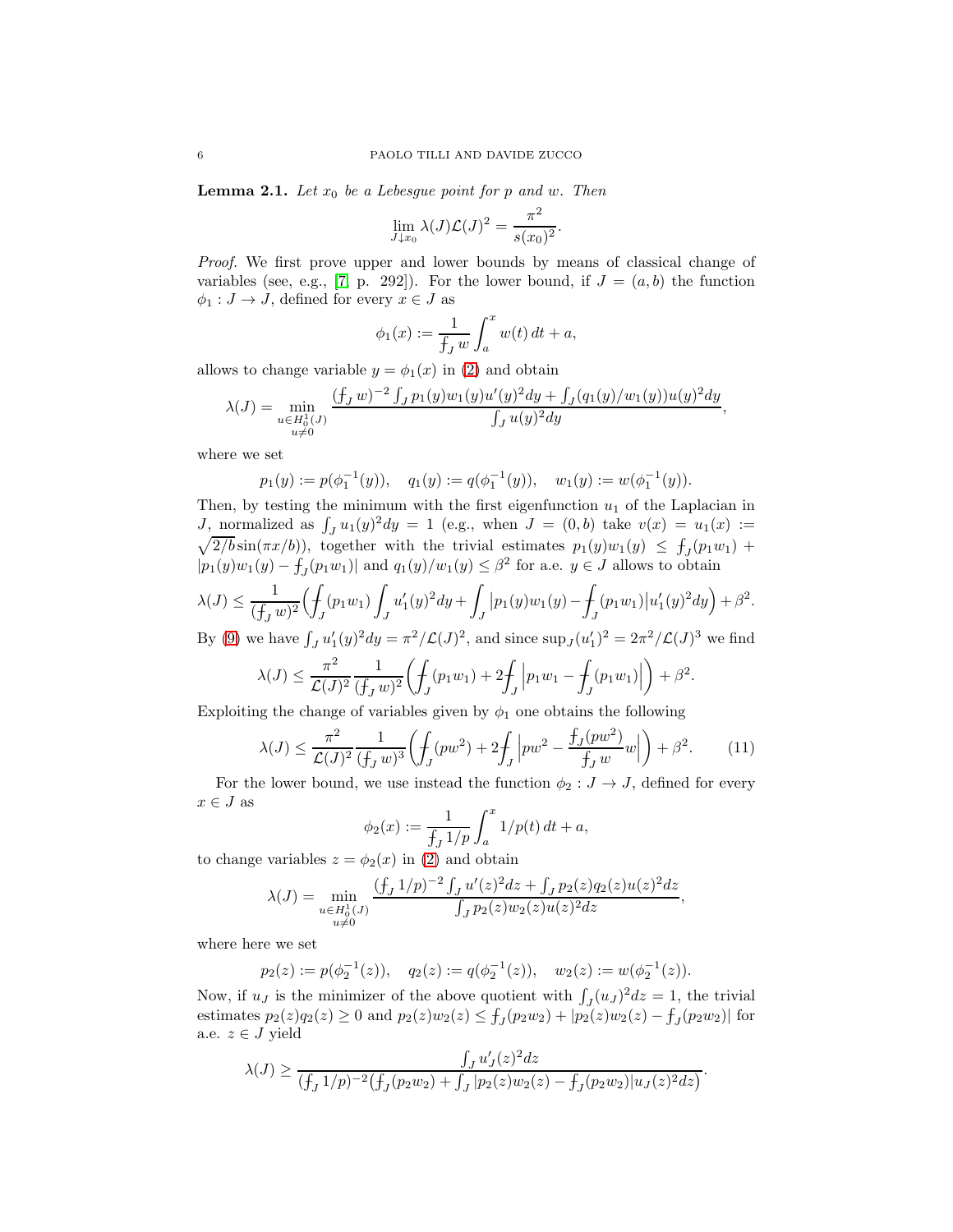**Lemma 2.1.** Let  $x_0$  be a Lebesgue point for p and w. Then

$$
\lim_{J\downarrow x_0} \lambda(J)\mathcal{L}(J)^2 = \frac{\pi^2}{s(x_0)^2}
$$

.

Proof. We first prove upper and lower bounds by means of classical change of variables (see, e.g., [7, p. 292]). For the lower bound, if  $J = (a, b)$  the function  $\phi_1 : J \to J$ , defined for every  $x \in J$  as

$$
\phi_1(x) := \frac{1}{f_J w} \int_a^x w(t) dt + a,
$$

allows to change variable  $y = \phi_1(x)$  in (2) and obtain

$$
\lambda(J) = \min_{\substack{u \in H_0^1(J) \\ u \neq 0}} \frac{(f_J w)^{-2} \int_J p_1(y) w_1(y) u'(y)^2 dy + \int_J (q_1(y)/w_1(y)) u(y)^2 dy}{\int_J u(y)^2 dy},
$$

where we set

$$
p_1(y) := p(\phi_1^{-1}(y)), \quad q_1(y) := q(\phi_1^{-1}(y)), \quad w_1(y) := w(\phi_1^{-1}(y)).
$$

Then, by testing the minimum with the first eigenfunction  $u_1$  of the Laplacian in J, normalized as  $\int_J u_1(y)^2 dy = 1$  (e.g., when  $J = (0, b)$  take  $v(x) = u_1(x) :=$  $\sqrt{2/b}\sin(\pi x/b)$ , together with the trivial estimates  $p_1(y)w_1(y) \leq f_y(p_1w_1) +$  $|p_1(y)w_1(y) - f_J(p_1w_1)|$  and  $q_1(y)/w_1(y) \leq \beta^2$  for a.e.  $y \in J$  allows to obtain

$$
\lambda(J) \le \frac{1}{(f_J w)^2} \Big( \frac{1}{f_J} (p_1 w_1) \int_J u_1'(y)^2 dy + \int_J |p_1(y)w_1(y) - \int_J (p_1 w_1) |u_1'(y)^2 dy \Big) + \beta^2.
$$

By (9) we have  $\int_J u_1'(y)^2 dy = \pi^2/\mathcal{L}(J)^2$ , and since  $\sup_J (u_1')^2 = 2\pi^2/\mathcal{L}(J)^3$  we find

$$
\lambda(J) \le \frac{\pi^2}{\mathcal{L}(J)^2} \frac{1}{(f_J w)^2} \left( \int_J (p_1 w_1) + 2 \int_J \left| p_1 w_1 - \int_J (p_1 w_1) \right| \right) + \beta^2
$$

Exploiting the change of variables given by  $\phi_1$  one obtains the following

$$
\lambda(J) \le \frac{\pi^2}{\mathcal{L}(J)^2} \frac{1}{(f_J w)^3} \left( \int_J (pw^2) + 2 \int_J \left| pw^2 - \frac{f_J(pw^2)}{f_J w} w \right| \right) + \beta^2.
$$
 (11)

.

For the lower bound, we use instead the function  $\phi_2 : J \to J$ , defined for every  $x \in J$  as

$$
\phi_2(x) := \frac{1}{\int_J 1/p} \int_a^x 1/p(t) \, dt + a,
$$

to change variables  $z = \phi_2(x)$  in (2) and obtain

$$
\lambda(J) = \min_{\substack{u \in H_0^1(J) \\ u \neq 0}} \frac{(f_J 1/p)^{-2} \int_J u'(z)^2 dz + \int_J p_2(z) q_2(z) u(z)^2 dz}{\int_J p_2(z) w_2(z) u(z)^2 dz},
$$

where here we set

$$
p_2(z) := p(\phi_2^{-1}(z)), \quad q_2(z) := q(\phi_2^{-1}(z)), \quad w_2(z) := w(\phi_2^{-1}(z)).
$$

Now, if  $u_j$  is the minimizer of the above quotient with  $\int_J (u_j)^2 dz = 1$ , the trivial estimates  $p_2(z)q_2(z) \ge 0$  and  $p_2(z)w_2(z) \le f_J(p_2w_2) + |p_2(z)w_2(z) - f_J(p_2w_2)|$  for a.e.  $z \in J$  yield

$$
\lambda(J) \ge \frac{\int_J u'_J(z)^2 dz}{(\int_J 1/p)^{-2} (\int_J (p_2w_2) + \int_J |p_2(z)w_2(z) - \int_J (p_2w_2)|u_J(z)^2 dz)}.
$$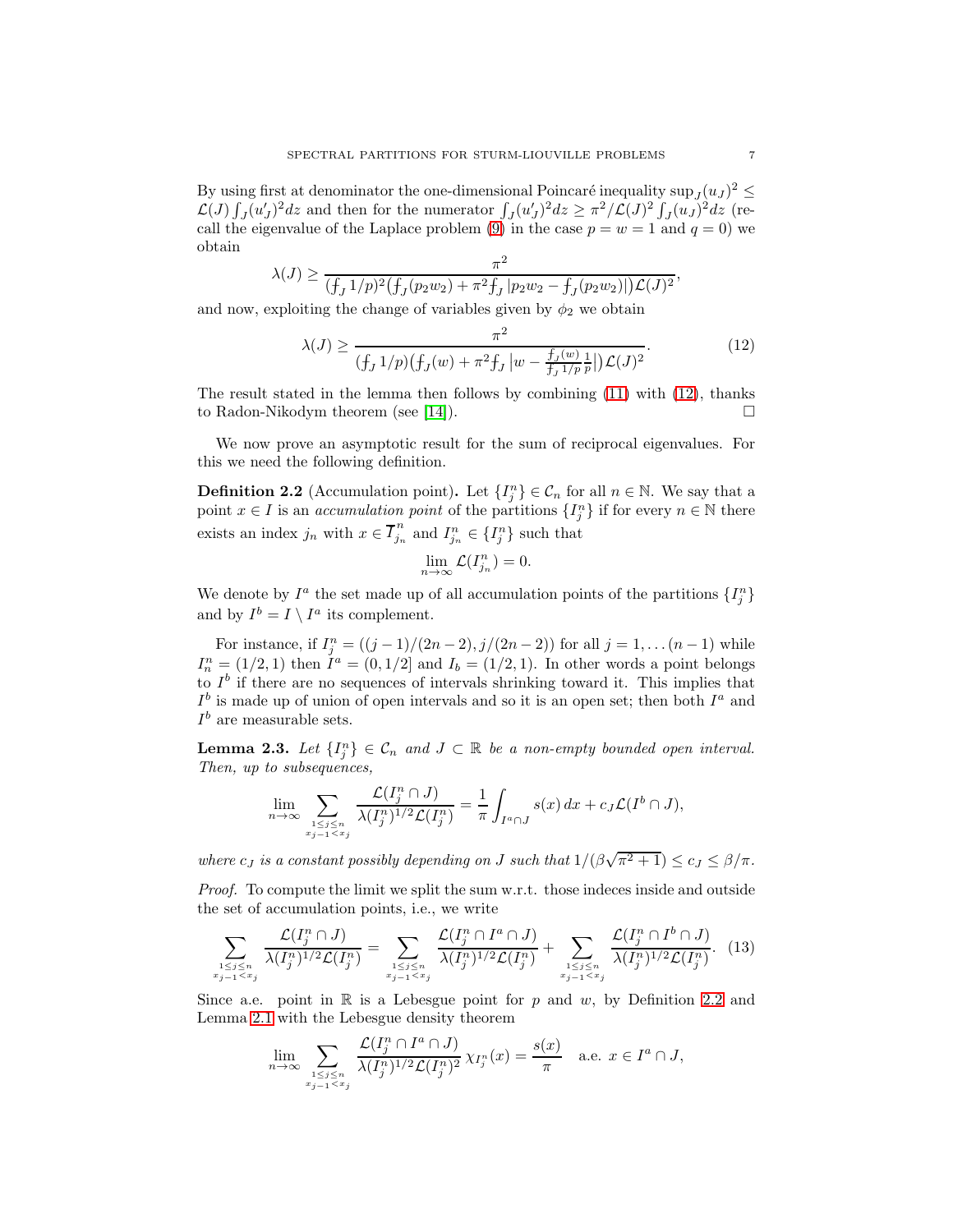By using first at denominator the one-dimensional Poincaré inequality  $\sup_j (u_j)^2 \leq$  $\mathcal{L}(J) \int_J (u'_J)^2 dz$  and then for the numerator  $\int_J (u'_J)^2 dz \geq \pi^2/\mathcal{L}(J)^2 \int_J (u_J)^2 dz$  (recall the eigenvalue of the Laplace problem (9) in the case  $p = w = 1$  and  $q = 0$ ) we obtain

$$
\lambda(J) \ge \frac{\pi^2}{(f_J 1/p)^2 (f_J(p_2w_2) + \pi^2 f_J | p_2w_2 - f_J(p_2w_2)|) \mathcal{L}(J)^2},
$$

and now, exploiting the change of variables given by  $\phi_2$  we obtain

$$
\lambda(J) \ge \frac{\pi^2}{(f_J \, 1/p)(f_J(w) + \pi^2 f_J \, |w - \frac{f_J(w)}{f_J \, 1/p} \, p \, |)}.\tag{12}
$$

The result stated in the lemma then follows by combining (11) with (12), thanks to Radon-Nikodym theorem (see [14]).  $\Box$ 

We now prove an asymptotic result for the sum of reciprocal eigenvalues. For this we need the following definition.

**Definition 2.2** (Accumulation point). Let  $\{I_j^n\} \in \mathcal{C}_n$  for all  $n \in \mathbb{N}$ . We say that a point  $x \in I$  is an *accumulation point* of the partitions  $\{I_j^n\}$  if for every  $n \in \mathbb{N}$  there exists an index  $j_n$  with  $x \in \overline{I}_{j_n}^n$  $j_n$  and  $I_{j_n}^n \in \{I_j^n\}$  such that

$$
\lim_{n \to \infty} \mathcal{L}(I_{j_n}^n) = 0.
$$

We denote by  $I^a$  the set made up of all accumulation points of the partitions  $\{I_j^n\}$ and by  $I^b = I \setminus I^a$  its complement.

For instance, if  $I_j^n = ((j-1)/(2n-2), j/(2n-2))$  for all  $j = 1, ..., (n-1)$  while  $I_n^n = (1/2, 1)$  then  $I^a = (0, 1/2]$  and  $I_b = (1/2, 1)$ . In other words a point belongs to  $I^b$  if there are no sequences of intervals shrinking toward it. This implies that  $I^b$  is made up of union of open intervals and so it is an open set; then both  $I^a$  and  $I<sup>b</sup>$  are measurable sets.

**Lemma 2.3.** Let  $\{I_j^n\} \in \mathcal{C}_n$  and  $J \subset \mathbb{R}$  be a non-empty bounded open interval. Then, up to subsequences,

$$
\lim_{n \to \infty} \sum_{\substack{1 \le j \le n \\ x_{j-1} < x_j}} \frac{\mathcal{L}(I_j^n \cap J)}{\lambda(I_j^n)^{1/2} \mathcal{L}(I_j^n)} = \frac{1}{\pi} \int_{I^a \cap J} s(x) \, dx + c_J \mathcal{L}(I^b \cap J),
$$

where  $c_J$  is a constant possibly depending on J such that  $1/(\beta\sqrt{\pi^2+1}) \leq c_J \leq \beta/\pi$ .

Proof. To compute the limit we split the sum w.r.t. those indeces inside and outside the set of accumulation points, i.e., we write

$$
\sum_{1 \leq j \leq n \atop x_{j-1} < x_j} \frac{\mathcal{L}(I_j^n \cap J)}{\lambda(I_j^n)^{1/2} \mathcal{L}(I_j^n)} = \sum_{1 \leq j \leq n \atop x_{j-1} < x_j} \frac{\mathcal{L}(I_j^n \cap I^a \cap J)}{\lambda(I_j^n)^{1/2} \mathcal{L}(I_j^n)} + \sum_{1 \leq j \leq n \atop x_{j-1} < x_j} \frac{\mathcal{L}(I_j^n \cap I^b \cap J)}{\lambda(I_j^n)^{1/2} \mathcal{L}(I_j^n)}.
$$
(13)

Since a.e. point in  $\mathbb R$  is a Lebesgue point for p and w, by Definition 2.2 and Lemma 2.1 with the Lebesgue density theorem

$$
\lim_{n \to \infty} \sum_{\substack{1 \le j \le n \\ x_{j-1} < x_j}} \frac{\mathcal{L}(I_j^n \cap I^a \cap J)}{\lambda(I_j^n)^{1/2} \mathcal{L}(I_j^n)^2} \chi_{I_j^n}(x) = \frac{s(x)}{\pi} \quad \text{a.e. } x \in I^a \cap J,
$$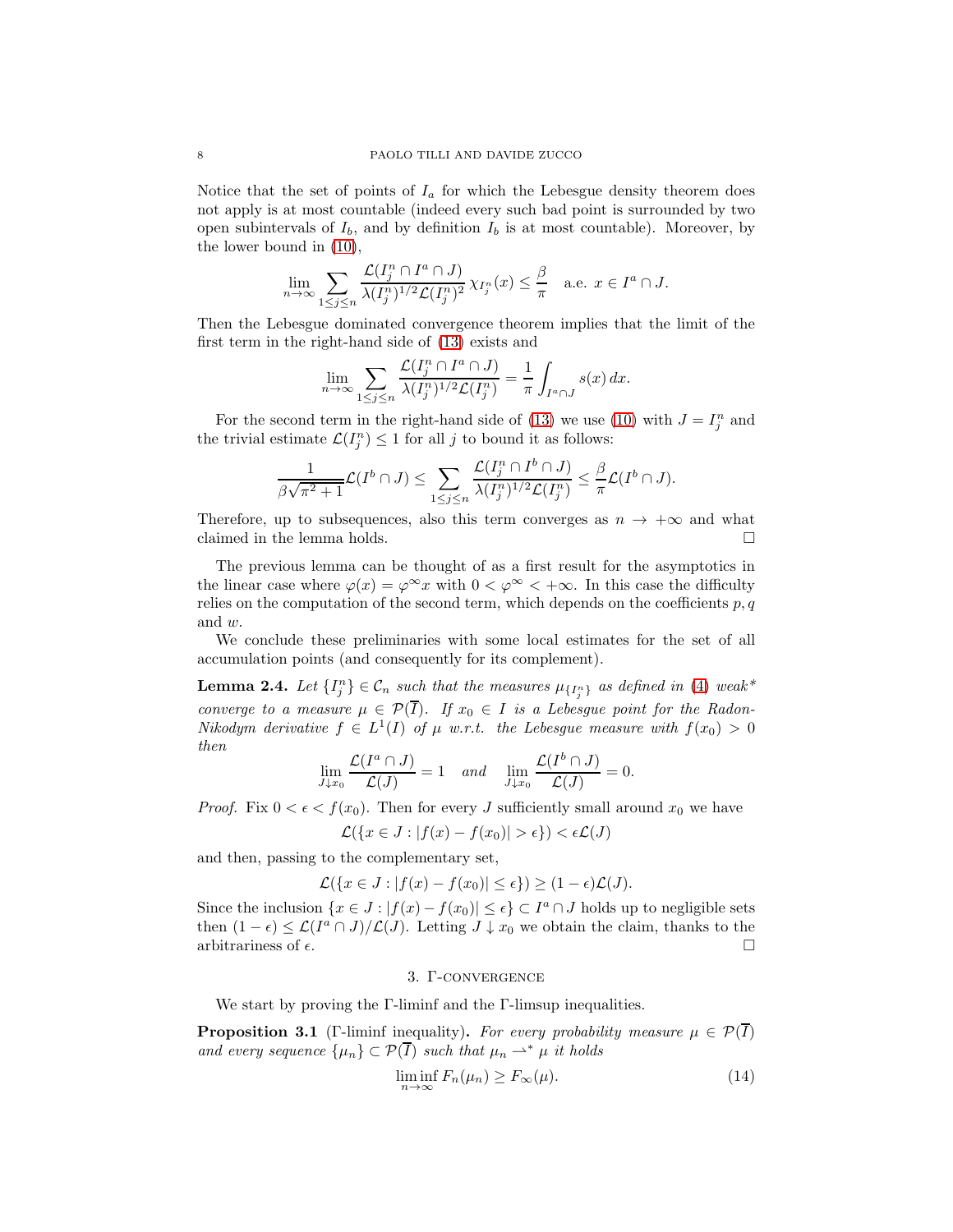Notice that the set of points of  $I_a$  for which the Lebesgue density theorem does not apply is at most countable (indeed every such bad point is surrounded by two open subintervals of  $I_b$ , and by definition  $I_b$  is at most countable). Moreover, by the lower bound in (10),

$$
\lim_{n\to\infty}\sum_{1\leq j\leq n}\frac{\mathcal{L}(I_j^n\cap I^a\cap J)}{\lambda(I_j^n)^{1/2}\mathcal{L}(I_j^n)^2}\chi_{I_j^n}(x)\leq \frac{\beta}{\pi}\quad\text{a.e. }x\in I^a\cap J.
$$

Then the Lebesgue dominated convergence theorem implies that the limit of the first term in the right-hand side of (13) exists and

$$
\lim_{n \to \infty} \sum_{1 \le j \le n} \frac{\mathcal{L}(I_j^n \cap I^a \cap J)}{\lambda(I_j^n)^{1/2} \mathcal{L}(I_j^n)} = \frac{1}{\pi} \int_{I^a \cap J} s(x) \, dx.
$$

For the second term in the right-hand side of (13) we use (10) with  $J = I_j^n$  and the trivial estimate  $\mathcal{L}(I_j^n) \leq 1$  for all j to bound it as follows:

$$
\frac{1}{\beta\sqrt{\pi^2+1}}\mathcal{L}(I^b\cap J)\leq \sum_{1\leq j\leq n}\frac{\mathcal{L}(I_j^n\cap I^b\cap J)}{\lambda(I_j^n)^{1/2}\mathcal{L}(I_j^n)}\leq \frac{\beta}{\pi}\mathcal{L}(I^b\cap J).
$$

Therefore, up to subsequences, also this term converges as  $n \to +\infty$  and what claimed in the lemma holds. claimed in the lemma holds.

The previous lemma can be thought of as a first result for the asymptotics in the linear case where  $\varphi(x) = \varphi^{\infty} x$  with  $0 < \varphi^{\infty} < +\infty$ . In this case the difficulty relies on the computation of the second term, which depends on the coefficients  $p, q$ and w.

We conclude these preliminaries with some local estimates for the set of all accumulation points (and consequently for its complement).

**Lemma 2.4.** Let  $\{I_j^n\} \in \mathcal{C}_n$  such that the measures  $\mu_{\{I_j^n\}}$  as defined in (4) weak\* converge to a measure  $\mu \in \mathcal{P}(T)$ . If  $x_0 \in I$  is a Lebesgue point for the Radon-Nikodym derivative  $f \in L^1(I)$  of  $\mu$  w.r.t. the Lebesgue measure with  $f(x_0) > 0$ then

$$
\lim_{J\downarrow x_0}\frac{\mathcal{L}(I^a\cap J)}{\mathcal{L}(J)}=1 \quad and \quad \lim_{J\downarrow x_0}\frac{\mathcal{L}(I^b\cap J)}{\mathcal{L}(J)}=0.
$$

*Proof.* Fix  $0 < \epsilon < f(x_0)$ . Then for every J sufficiently small around  $x_0$  we have

$$
\mathcal{L}(\{x \in J : |f(x) - f(x_0)| > \epsilon\}) < \epsilon \mathcal{L}(J)
$$

and then, passing to the complementary set,

$$
\mathcal{L}(\{x \in J : |f(x) - f(x_0)| \le \epsilon\}) \ge (1 - \epsilon)\mathcal{L}(J).
$$

Since the inclusion  $\{x \in J : |f(x) - f(x_0)| \le \epsilon\} \subset I^a \cap J$  holds up to negligible sets then  $(1 - \epsilon) \leq \mathcal{L}(I^a \cap J)/\mathcal{L}(J)$ . Letting  $J \downarrow x_0$  we obtain the claim, thanks to the arbitrariness of  $\epsilon$ .

## 3. Γ-convergence

We start by proving the Γ-liminf and the Γ-limsup inequalities.

**Proposition 3.1** (Γ-liminf inequality). For every probability measure  $\mu \in \mathcal{P}(I)$ and every sequence  $\{\mu_n\} \subset \mathcal{P}(\overline{I})$  such that  $\mu_n \rightharpoonup^* \mu$  it holds

$$
\liminf_{n \to \infty} F_n(\mu_n) \ge F_{\infty}(\mu). \tag{14}
$$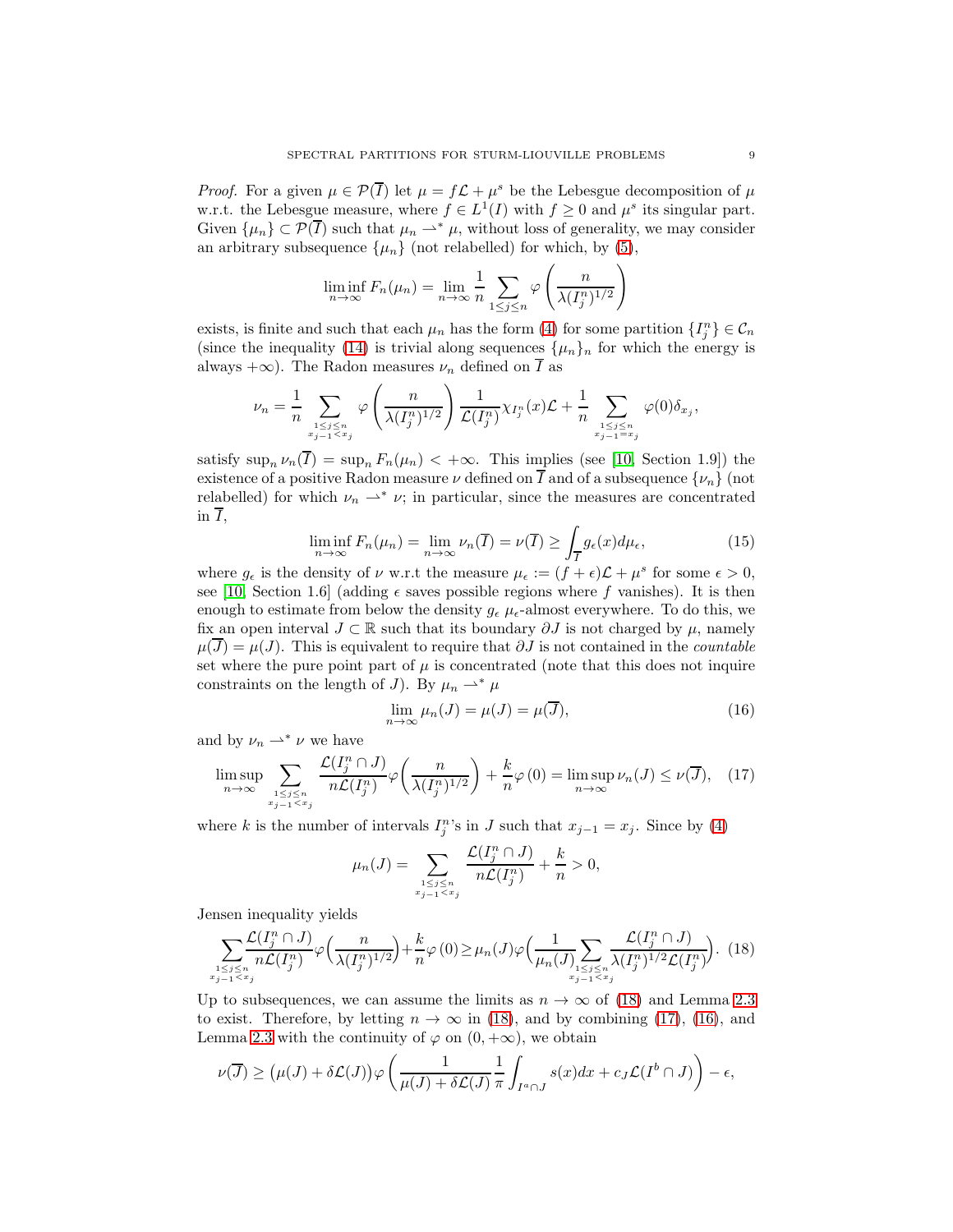*Proof.* For a given  $\mu \in \mathcal{P}(\overline{I})$  let  $\mu = f\mathcal{L} + \mu^s$  be the Lebesgue decomposition of  $\mu$ w.r.t. the Lebesgue measure, where  $f \in L^1(I)$  with  $f \geq 0$  and  $\mu^s$  its singular part. Given  $\{\mu_n\} \subset \mathcal{P}(\overline{I})$  such that  $\mu_n \rightharpoonup^* \mu$ , without loss of generality, we may consider an arbitrary subsequence  $\{\mu_n\}$  (not relabelled) for which, by (5),

$$
\liminf_{n \to \infty} F_n(\mu_n) = \lim_{n \to \infty} \frac{1}{n} \sum_{1 \le j \le n} \varphi \left( \frac{n}{\lambda (I_j^n)^{1/2}} \right)
$$

exists, is finite and such that each  $\mu_n$  has the form (4) for some partition  $\{I_j^n\} \in \mathcal{C}_n$ (since the inequality (14) is trivial along sequences  $\{\mu_n\}_n$  for which the energy is always +∞). The Radon measures  $\nu_n$  defined on  $\overline{I}$  as

$$
\nu_n = \frac{1}{n} \sum_{\substack{1 \le j \le n \\ x_j - 1 < x_j}} \varphi\left(\frac{n}{\lambda(I_j^n)^{1/2}}\right) \frac{1}{\mathcal{L}(I_j^n)} \chi_{I_j^n}(x) \mathcal{L} + \frac{1}{n} \sum_{\substack{1 \le j \le n \\ x_j - 1 = x_j}} \varphi(0) \delta_{x_j},
$$

satisfy  $\sup_n \nu_n(I) = \sup_n F_n(\mu_n) < +\infty$ . This implies (see [10, Section 1.9]) the existence of a positive Radon measure  $\nu$  defined on  $\overline{I}$  and of a subsequence  $\{\nu_n\}$  (not relabelled) for which  $\nu_n \rightharpoonup^* \nu$ ; in particular, since the measures are concentrated in  $\overline{I}$ ,

$$
\liminf_{n \to \infty} F_n(\mu_n) = \lim_{n \to \infty} \nu_n(\overline{I}) = \nu(\overline{I}) \ge \int_{\overline{I}} g_{\epsilon}(x) d\mu_{\epsilon}, \tag{15}
$$

where  $g_{\epsilon}$  is the density of  $\nu$  w.r.t the measure  $\mu_{\epsilon} := (f + \epsilon)\mathcal{L} + \mu^{s}$  for some  $\epsilon > 0$ , see [10, Section 1.6] (adding  $\epsilon$  saves possible regions where f vanishes). It is then enough to estimate from below the density  $g_{\epsilon} \mu_{\epsilon}$ -almost everywhere. To do this, we fix an open interval  $J \subset \mathbb{R}$  such that its boundary  $\partial J$  is not charged by  $\mu$ , namely  $\mu(J) = \mu(J)$ . This is equivalent to require that  $\partial J$  is not contained in the *countable* set where the pure point part of  $\mu$  is concentrated (note that this does not inquire constraints on the length of J). By  $\mu_n \rightharpoonup^* \mu$ 

$$
\lim_{n \to \infty} \mu_n(J) = \mu(J) = \mu(\overline{J}),\tag{16}
$$

and by  $\nu_n \rightharpoonup^* \nu$  we have

$$
\limsup_{n \to \infty} \sum_{\substack{1 \le j \le n \\ x_{j-1} < x_j}} \frac{\mathcal{L}(I_j^n \cap J)}{n\mathcal{L}(I_j^n)} \varphi\left(\frac{n}{\lambda(I_j^n)^{1/2}}\right) + \frac{k}{n} \varphi\left(0\right) = \limsup_{n \to \infty} \nu_n(J) \le \nu(\overline{J}), \quad (17)
$$

where k is the number of intervals  $I_j^{n}$ 's in J such that  $x_{j-1} = x_j$ . Since by (4)

$$
\mu_n(J) = \sum_{\substack{1 \le j \le n \\ x_{j-1} < x_j}} \frac{\mathcal{L}(I_j^n \cap J)}{n\mathcal{L}(I_j^n)} + \frac{k}{n} > 0,
$$

Jensen inequality yields

$$
\sum_{\substack{1 \le j \le n \\ x_j = 1 \le x_j}} \frac{\mathcal{L}(I_j^n \cap J)}{n\mathcal{L}(I_j^n)} \varphi\left(\frac{n}{\lambda(I_j^n)^{1/2}}\right) + \frac{k}{n} \varphi\left(0\right) \ge \mu_n(J) \varphi\left(\frac{1}{\mu_n(J)} \sum_{\substack{1 \le j \le n \\ x_{j-1} \le x_j}} \frac{\mathcal{L}(I_j^n \cap J)}{\lambda(I_j^n)^{1/2} \mathcal{L}(I_j^n)}\right). \tag{18}
$$

Up to subsequences, we can assume the limits as  $n \to \infty$  of (18) and Lemma 2.3 to exist. Therefore, by letting  $n \to \infty$  in (18), and by combining (17), (16), and Lemma 2.3 with the continuity of  $\varphi$  on  $(0, +\infty)$ , we obtain

$$
\nu(\overline{J}) \ge (\mu(J) + \delta \mathcal{L}(J)) \varphi \left( \frac{1}{\mu(J) + \delta \mathcal{L}(J)} \frac{1}{\pi} \int_{I^a \cap J} s(x) dx + c_J \mathcal{L}(I^b \cap J) \right) - \epsilon,
$$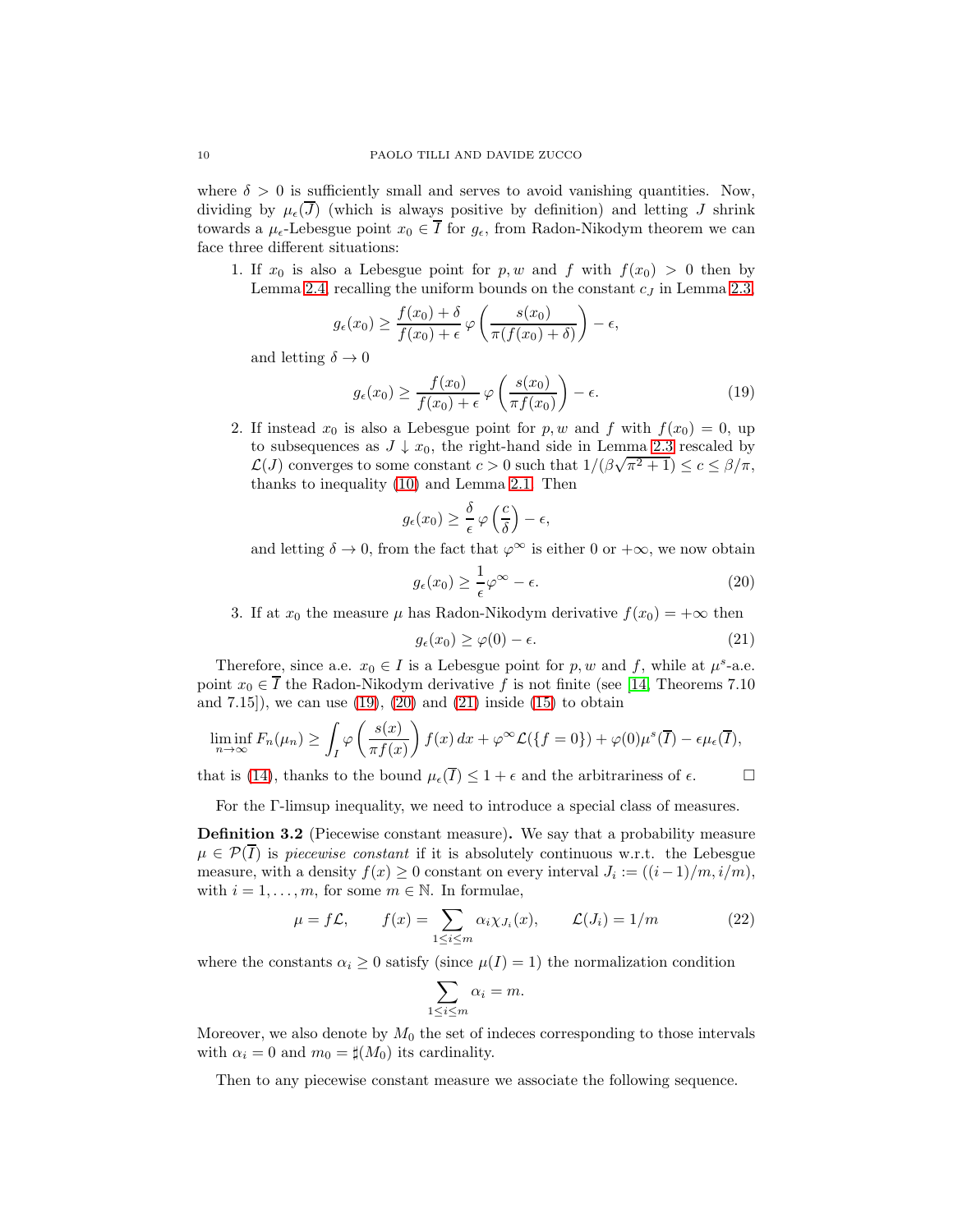where  $\delta > 0$  is sufficiently small and serves to avoid vanishing quantities. Now, dividing by  $\mu_{\epsilon}(\overline{J})$  (which is always positive by definition) and letting J shrink towards a  $\mu_{\epsilon}$ -Lebesgue point  $x_0 \in \overline{I}$  for  $g_{\epsilon}$ , from Radon-Nikodym theorem we can face three different situations:

1. If  $x_0$  is also a Lebesgue point for p, w and f with  $f(x_0) > 0$  then by Lemma 2.4, recalling the uniform bounds on the constant  $c_j$  in Lemma 2.3,

$$
g_{\epsilon}(x_0) \ge \frac{f(x_0) + \delta}{f(x_0) + \epsilon} \varphi \left( \frac{s(x_0)}{\pi(f(x_0) + \delta)} \right) - \epsilon,
$$

and letting  $\delta \to 0$ 

$$
g_{\epsilon}(x_0) \ge \frac{f(x_0)}{f(x_0) + \epsilon} \varphi\left(\frac{s(x_0)}{\pi f(x_0)}\right) - \epsilon.
$$
 (19)

2. If instead  $x_0$  is also a Lebesgue point for p, w and f with  $f(x_0) = 0$ , up to subsequences as  $J \downarrow x_0$ , the right-hand side in Lemma 2.3 rescaled by L(*J*) converges to some constant  $c > 0$  such that  $1/(\beta\sqrt{\pi^2 + 1}) \le c \le \beta/\pi$ , thanks to inequality (10) and Lemma 2.1. Then

$$
g_{\epsilon}(x_0) \geq \frac{\delta}{\epsilon} \varphi\left(\frac{c}{\delta}\right) - \epsilon,
$$

and letting  $\delta \to 0$ , from the fact that  $\varphi^{\infty}$  is either 0 or  $+\infty$ , we now obtain

$$
g_{\epsilon}(x_0) \ge \frac{1}{\epsilon} \varphi^{\infty} - \epsilon. \tag{20}
$$

3. If at  $x_0$  the measure  $\mu$  has Radon-Nikodym derivative  $f(x_0) = +\infty$  then

$$
g_{\epsilon}(x_0) \ge \varphi(0) - \epsilon. \tag{21}
$$

Therefore, since a.e.  $x_0 \in I$  is a Lebesgue point for p, w and f, while at  $\mu^s$ -a.e. point  $x_0 \in \overline{I}$  the Radon-Nikodym derivative f is not finite (see [14, Theorems 7.10 and  $(7.15)$ , we can use  $(19)$ ,  $(20)$  and  $(21)$  inside  $(15)$  to obtain

$$
\liminf_{n \to \infty} F_n(\mu_n) \ge \int_I \varphi\left(\frac{s(x)}{\pi f(x)}\right) f(x) dx + \varphi^{\infty} \mathcal{L}(\lbrace f = 0 \rbrace) + \varphi(0) \mu^s(\overline{I}) - \epsilon \mu_{\epsilon}(\overline{I}),
$$

that is (14), thanks to the bound  $\mu_{\epsilon}(\overline{I}) \leq 1 + \epsilon$  and the arbitrariness of  $\epsilon$ .

For the Γ-limsup inequality, we need to introduce a special class of measures.

Definition 3.2 (Piecewise constant measure). We say that a probability measure  $\mu \in \mathcal{P}(I)$  is piecewise constant if it is absolutely continuous w.r.t. the Lebesgue measure, with a density  $f(x) \ge 0$  constant on every interval  $J_i := ((i-1)/m, i/m)$ , with  $i = 1, \ldots, m$ , for some  $m \in \mathbb{N}$ . In formulae,

$$
\mu = f\mathcal{L}, \qquad f(x) = \sum_{1 \le i \le m} \alpha_i \chi_{J_i}(x), \qquad \mathcal{L}(J_i) = 1/m \tag{22}
$$

where the constants  $\alpha_i \geq 0$  satisfy (since  $\mu(I) = 1$ ) the normalization condition

$$
\sum_{1 \le i \le m} \alpha_i = m.
$$

Moreover, we also denote by  $M_0$  the set of indeces corresponding to those intervals with  $\alpha_i = 0$  and  $m_0 = \sharp(M_0)$  its cardinality.

Then to any piecewise constant measure we associate the following sequence.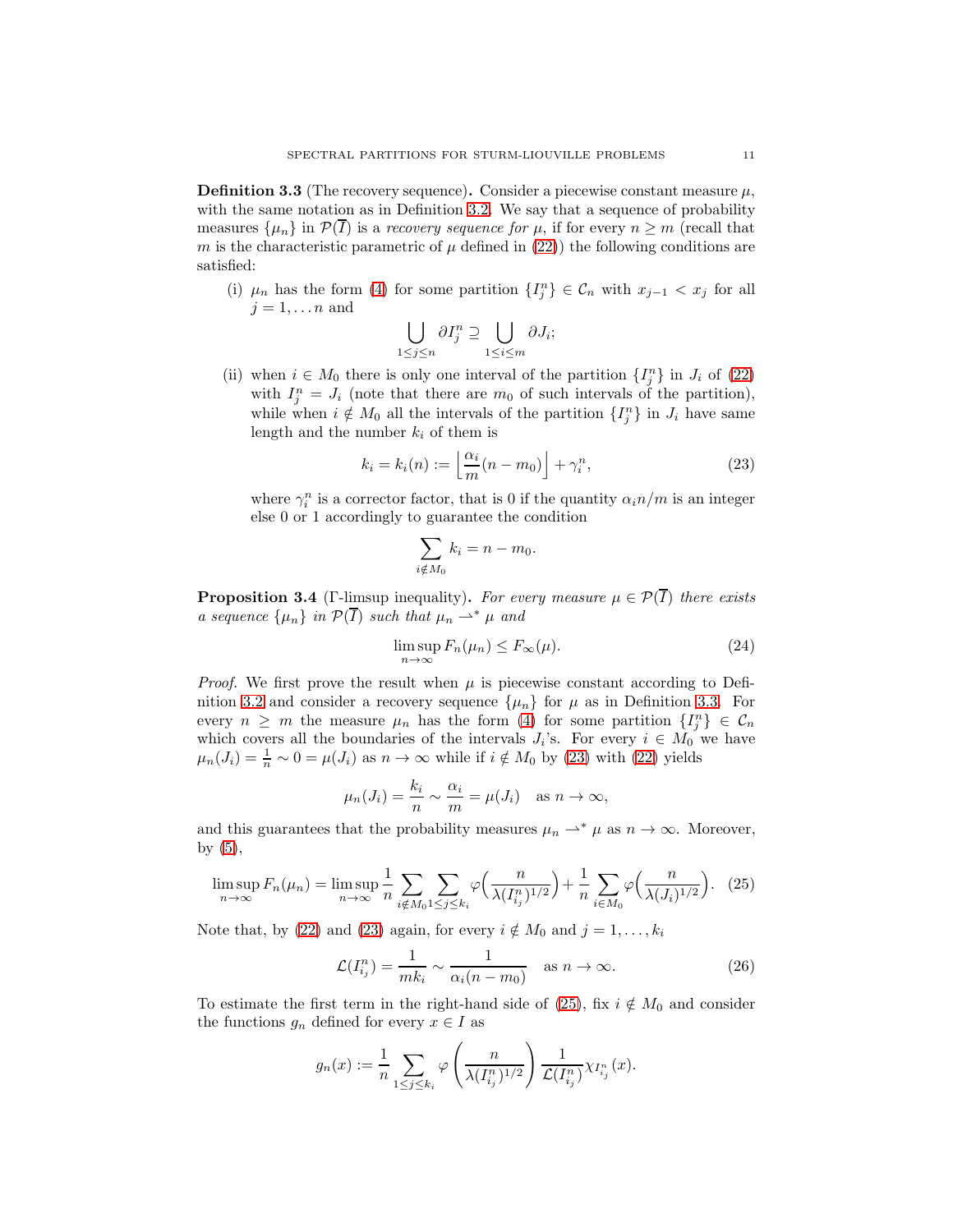**Definition 3.3** (The recovery sequence). Consider a piecewise constant measure  $\mu$ , with the same notation as in Definition 3.2. We say that a sequence of probability measures  $\{\mu_n\}$  in  $\mathcal{P}(\overline{I})$  is a *recovery sequence for*  $\mu$ , if for every  $n \geq m$  (recall that m is the characteristic parametric of  $\mu$  defined in (22)) the following conditions are satisfied:

(i)  $\mu_n$  has the form (4) for some partition  $\{I_j^n\} \in \mathcal{C}_n$  with  $x_{j-1} < x_j$  for all  $j = 1, \ldots n$  and

$$
\bigcup_{1 \le j \le n} \partial I_j^n \supseteq \bigcup_{1 \le i \le m} \partial J_i;
$$

(ii) when  $i \in M_0$  there is only one interval of the partition  $\{I_j^n\}$  in  $J_i$  of (22) with  $I_j^n = J_i$  (note that there are  $m_0$  of such intervals of the partition), while when  $i \notin M_0$  all the intervals of the partition  $\{I_j^n\}$  in  $J_i$  have same length and the number  $k_i$  of them is

$$
k_i = k_i(n) := \left\lfloor \frac{\alpha_i}{m}(n - m_0) \right\rfloor + \gamma_i^n,
$$
\n(23)

where  $\gamma_i^n$  is a corrector factor, that is 0 if the quantity  $\alpha_i n/m$  is an integer else 0 or 1 accordingly to guarantee the condition

$$
\sum_{i \notin M_0} k_i = n - m_0.
$$

**Proposition 3.4** (Γ-limsup inequality). For every measure  $\mu \in \mathcal{P}(\overline{I})$  there exists a sequence  $\{\mu_n\}$  in  $\mathcal{P}(\overline{I})$  such that  $\mu_n \rightharpoonup^* \mu$  and

$$
\limsup_{n \to \infty} F_n(\mu_n) \le F_{\infty}(\mu). \tag{24}
$$

*Proof.* We first prove the result when  $\mu$  is piecewise constant according to Definition 3.2 and consider a recovery sequence  $\{\mu_n\}$  for  $\mu$  as in Definition 3.3. For every  $n \geq m$  the measure  $\mu_n$  has the form (4) for some partition  $\{I_j^n\} \in \mathcal{C}_n$ which covers all the boundaries of the intervals  $J_i$ 's. For every  $i \in M_0$  we have  $\mu_n(J_i) = \frac{1}{n} \sim 0 = \mu(J_i)$  as  $n \to \infty$  while if  $i \notin M_0$  by (23) with (22) yields

$$
\mu_n(J_i) = \frac{k_i}{n} \sim \frac{\alpha_i}{m} = \mu(J_i)
$$
 as  $n \to \infty$ ,

and this guarantees that the probability measures  $\mu_n \rightharpoonup^* \mu$  as  $n \to \infty$ . Moreover, by  $(5)$ ,

$$
\limsup_{n \to \infty} F_n(\mu_n) = \limsup_{n \to \infty} \frac{1}{n} \sum_{i \notin M_0} \sum_{1 \le j \le k_i} \varphi\left(\frac{n}{\lambda(I_{i_j}^n)^{1/2}}\right) + \frac{1}{n} \sum_{i \in M_0} \varphi\left(\frac{n}{\lambda(J_i)^{1/2}}\right). \tag{25}
$$

Note that, by (22) and (23) again, for every  $i \notin M_0$  and  $j = 1, \ldots, k_i$ 

$$
\mathcal{L}(I_{i_j}^n) = \frac{1}{mk_i} \sim \frac{1}{\alpha_i(n - m_0)} \quad \text{as } n \to \infty.
$$
 (26)

To estimate the first term in the right-hand side of (25), fix  $i \notin M_0$  and consider the functions  $g_n$  defined for every  $x \in I$  as

$$
g_n(x) := \frac{1}{n} \sum_{1 \le j \le k_i} \varphi\left(\frac{n}{\lambda(I_{i_j}^n)^{1/2}}\right) \frac{1}{\mathcal{L}(I_{i_j}^n)} \chi_{I_{i_j}^n}(x).
$$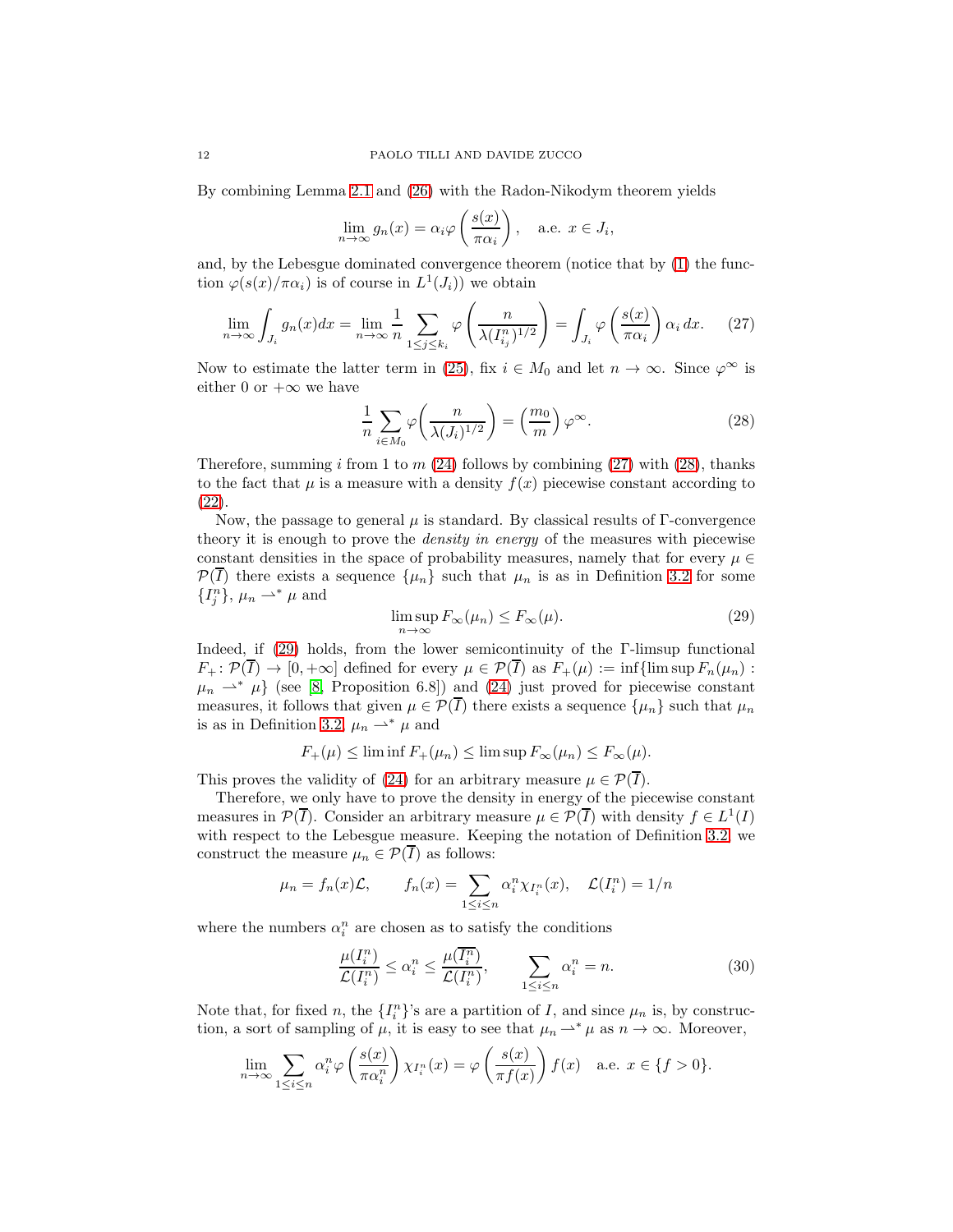By combining Lemma 2.1 and (26) with the Radon-Nikodym theorem yields

$$
\lim_{n \to \infty} g_n(x) = \alpha_i \varphi \left( \frac{s(x)}{\pi \alpha_i} \right), \quad \text{a.e. } x \in J_i,
$$

and, by the Lebesgue dominated convergence theorem (notice that by (1) the function  $\varphi(s(x)/\pi\alpha_i)$  is of course in  $L^1(J_i)$  we obtain

$$
\lim_{n \to \infty} \int_{J_i} g_n(x) dx = \lim_{n \to \infty} \frac{1}{n} \sum_{1 \le j \le k_i} \varphi \left( \frac{n}{\lambda (I_{i_j}^n)^{1/2}} \right) = \int_{J_i} \varphi \left( \frac{s(x)}{\pi \alpha_i} \right) \alpha_i dx. \tag{27}
$$

Now to estimate the latter term in (25), fix  $i \in M_0$  and let  $n \to \infty$ . Since  $\varphi^{\infty}$  is either 0 or  $+\infty$  we have

$$
\frac{1}{n} \sum_{i \in M_0} \varphi \left( \frac{n}{\lambda (J_i)^{1/2}} \right) = \left( \frac{m_0}{m} \right) \varphi^{\infty}.
$$
 (28)

Therefore, summing i from 1 to  $m(24)$  follows by combining  $(27)$  with  $(28)$ , thanks to the fact that  $\mu$  is a measure with a density  $f(x)$  piecewise constant according to (22).

Now, the passage to general  $\mu$  is standard. By classical results of  $\Gamma$ -convergence theory it is enough to prove the *density in energy* of the measures with piecewise constant densities in the space of probability measures, namely that for every  $\mu \in$  $\mathcal{P}(T)$  there exists a sequence  $\{\mu_n\}$  such that  $\mu_n$  is as in Definition 3.2 for some  $\{I_j^n\}, \mu_n \rightharpoonup^* \mu$  and

$$
\limsup_{n \to \infty} F_{\infty}(\mu_n) \le F_{\infty}(\mu). \tag{29}
$$

Indeed, if (29) holds, from the lower semicontinuity of the Γ-limsup functional  $F_+ : \mathcal{P}(\overline{I}) \to [0, +\infty]$  defined for every  $\mu \in \mathcal{P}(\overline{I})$  as  $F_+(\mu) := \inf\{\limsup F_n(\mu_n) :$  $\mu_n \rightharpoonup^* \mu$  (see [8, Proposition 6.8]) and (24) just proved for piecewise constant measures, it follows that given  $\mu \in \mathcal{P}(\overline{I})$  there exists a sequence  $\{\mu_n\}$  such that  $\mu_n$ is as in Definition 3.2,  $\mu_n \rightharpoonup^* \mu$  and

$$
F_{+}(\mu) \leq \liminf F_{+}(\mu_{n}) \leq \limsup F_{\infty}(\mu_{n}) \leq F_{\infty}(\mu).
$$

This proves the validity of (24) for an arbitrary measure  $\mu \in \mathcal{P}(\overline{I}).$ 

Therefore, we only have to prove the density in energy of the piecewise constant measures in  $\mathcal{P}(\overline{I})$ . Consider an arbitrary measure  $\mu \in \mathcal{P}(\overline{I})$  with density  $f \in L^1(I)$ with respect to the Lebesgue measure. Keeping the notation of Definition 3.2, we construct the measure  $\mu_n \in \mathcal{P}(\overline{I})$  as follows:

$$
\mu_n = f_n(x)\mathcal{L},
$$
\n
$$
f_n(x) = \sum_{1 \le i \le n} \alpha_i^n \chi_{I_i^n}(x),
$$
\n
$$
\mathcal{L}(I_i^n) = 1/n
$$

where the numbers  $\alpha_i^n$  are chosen as to satisfy the conditions

$$
\frac{\mu(I_i^n)}{\mathcal{L}(I_i^n)} \le \alpha_i^n \le \frac{\mu(\overline{I_i^n})}{\mathcal{L}(I_i^n)}, \qquad \sum_{1 \le i \le n} \alpha_i^n = n. \tag{30}
$$

Note that, for fixed n, the  $\{I_i^n\}$ 's are a partition of I, and since  $\mu_n$  is, by construction, a sort of sampling of  $\mu$ , it is easy to see that  $\mu_n \to^* \mu$  as  $n \to \infty$ . Moreover,

$$
\lim_{n \to \infty} \sum_{1 \le i \le n} \alpha_i^n \varphi \left( \frac{s(x)}{\pi \alpha_i^n} \right) \chi_{I_i^n}(x) = \varphi \left( \frac{s(x)}{\pi f(x)} \right) f(x) \quad \text{a.e. } x \in \{f > 0\}.
$$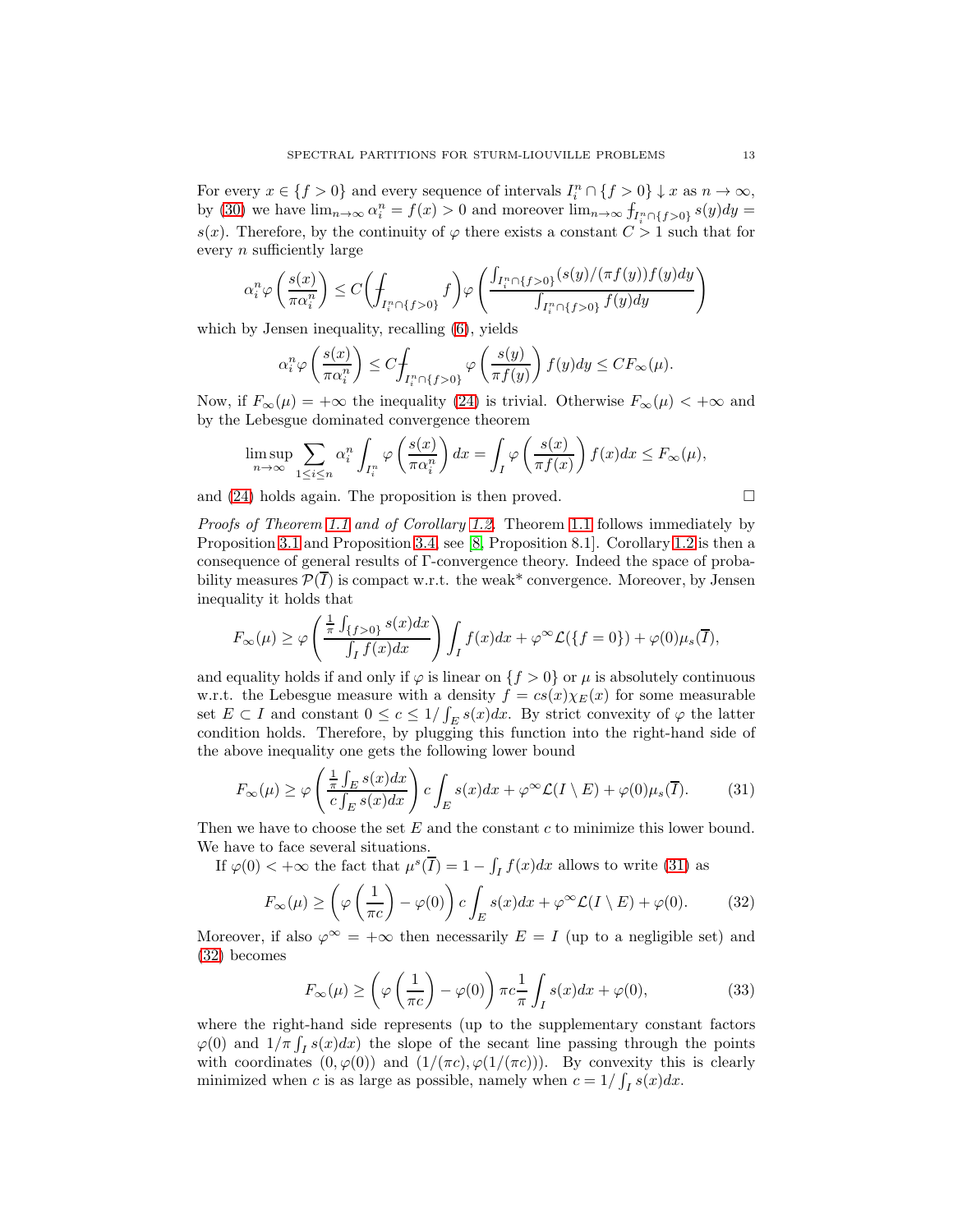For every  $x \in \{f > 0\}$  and every sequence of intervals  $I_i^n \cap \{f > 0\} \downarrow x$  as  $n \to \infty$ , by (30) we have  $\lim_{n\to\infty} \alpha_i^n = f(x) > 0$  and moreover  $\lim_{n\to\infty} f_{I_i^n \cap \{f > 0\}} s(y) dy =$ s(x). Therefore, by the continuity of  $\varphi$  there exists a constant  $C > 1$  such that for every n sufficiently large

$$
\alpha_i^n \varphi\left(\frac{s(x)}{\pi \alpha_i^n}\right) \le C \biggl(\int_{I_i^n \cap \{f > 0\}} f\biggr) \varphi\left(\frac{\int_{I_i^n \cap \{f > 0\}} (s(y)/(\pi f(y)) f(y) dy}{\int_{I_i^n \cap \{f > 0\}} f(y) dy}\right)
$$

which by Jensen inequality, recalling (6), yields

$$
\alpha_i^n \varphi\left(\frac{s(x)}{\pi \alpha_i^n}\right) \le C \hspace{-0.2ex}\int_{I_i^n \cap \{f > 0\}} \varphi\left(\frac{s(y)}{\pi f(y)}\right) f(y) dy \le C F_\infty(\mu).
$$

Now, if  $F_{\infty}(\mu) = +\infty$  the inequality (24) is trivial. Otherwise  $F_{\infty}(\mu) < +\infty$  and by the Lebesgue dominated convergence theorem

$$
\limsup_{n \to \infty} \sum_{1 \le i \le n} \alpha_i^n \int_{I_i^n} \varphi \left( \frac{s(x)}{\pi \alpha_i^n} \right) dx = \int_I \varphi \left( \frac{s(x)}{\pi f(x)} \right) f(x) dx \le F_\infty(\mu),
$$

and (24) holds again. The proposition is then proved.

Proofs of Theorem 1.1 and of Corollary 1.2. Theorem 1.1 follows immediately by Proposition 3.1 and Proposition 3.4, see [8, Proposition 8.1]. Corollary 1.2 is then a consequence of general results of Γ-convergence theory. Indeed the space of probability measures  $\mathcal{P}(\overline{I})$  is compact w.r.t. the weak\* convergence. Moreover, by Jensen inequality it holds that

$$
F_{\infty}(\mu) \ge \varphi\left(\frac{\frac{1}{\pi} \int_{\{f>0\}} s(x) dx}{\int_I f(x) dx}\right) \int_I f(x) dx + \varphi^{\infty} \mathcal{L}(\{f=0\}) + \varphi(0) \mu_s(\overline{I}),
$$

and equality holds if and only if  $\varphi$  is linear on  $\{f > 0\}$  or  $\mu$  is absolutely continuous w.r.t. the Lebesgue measure with a density  $f = cs(x)\chi_E(x)$  for some measurable set  $E \subset I$  and constant  $0 \le c \le 1/\int_E s(x)dx$ . By strict convexity of  $\varphi$  the latter condition holds. Therefore, by plugging this function into the right-hand side of the above inequality one gets the following lower bound

$$
F_{\infty}(\mu) \ge \varphi\left(\frac{\frac{1}{\pi} \int_{E} s(x) dx}{c \int_{E} s(x) dx}\right) c \int_{E} s(x) dx + \varphi^{\infty} \mathcal{L}(I \setminus E) + \varphi(0) \mu_{s}(\overline{I}). \tag{31}
$$

Then we have to choose the set  $E$  and the constant  $c$  to minimize this lower bound. We have to face several situations.

If  $\varphi(0) < +\infty$  the fact that  $\mu^{s}(\overline{I}) = 1 - \int_{I} f(x) dx$  allows to write (31) as

$$
F_{\infty}(\mu) \ge \left(\varphi\left(\frac{1}{\pi c}\right) - \varphi(0)\right)c \int_{E} s(x)dx + \varphi^{\infty} \mathcal{L}(I \setminus E) + \varphi(0). \tag{32}
$$

Moreover, if also  $\varphi^{\infty} = +\infty$  then necessarily  $E = I$  (up to a negligible set) and (32) becomes

$$
F_{\infty}(\mu) \ge \left(\varphi\left(\frac{1}{\pi c}\right) - \varphi(0)\right) \pi c \frac{1}{\pi} \int_{I} s(x) dx + \varphi(0),\tag{33}
$$

where the right-hand side represents (up to the supplementary constant factors  $\varphi(0)$  and  $1/\pi \int_I s(x)dx$ ) the slope of the secant line passing through the points with coordinates  $(0, \varphi(0))$  and  $(1/(\pi c), \varphi(1/(\pi c)))$ . By convexity this is clearly minimized when c is as large as possible, namely when  $c = 1/\int_I s(x)dx$ .

$$
\mathbb{L}^2
$$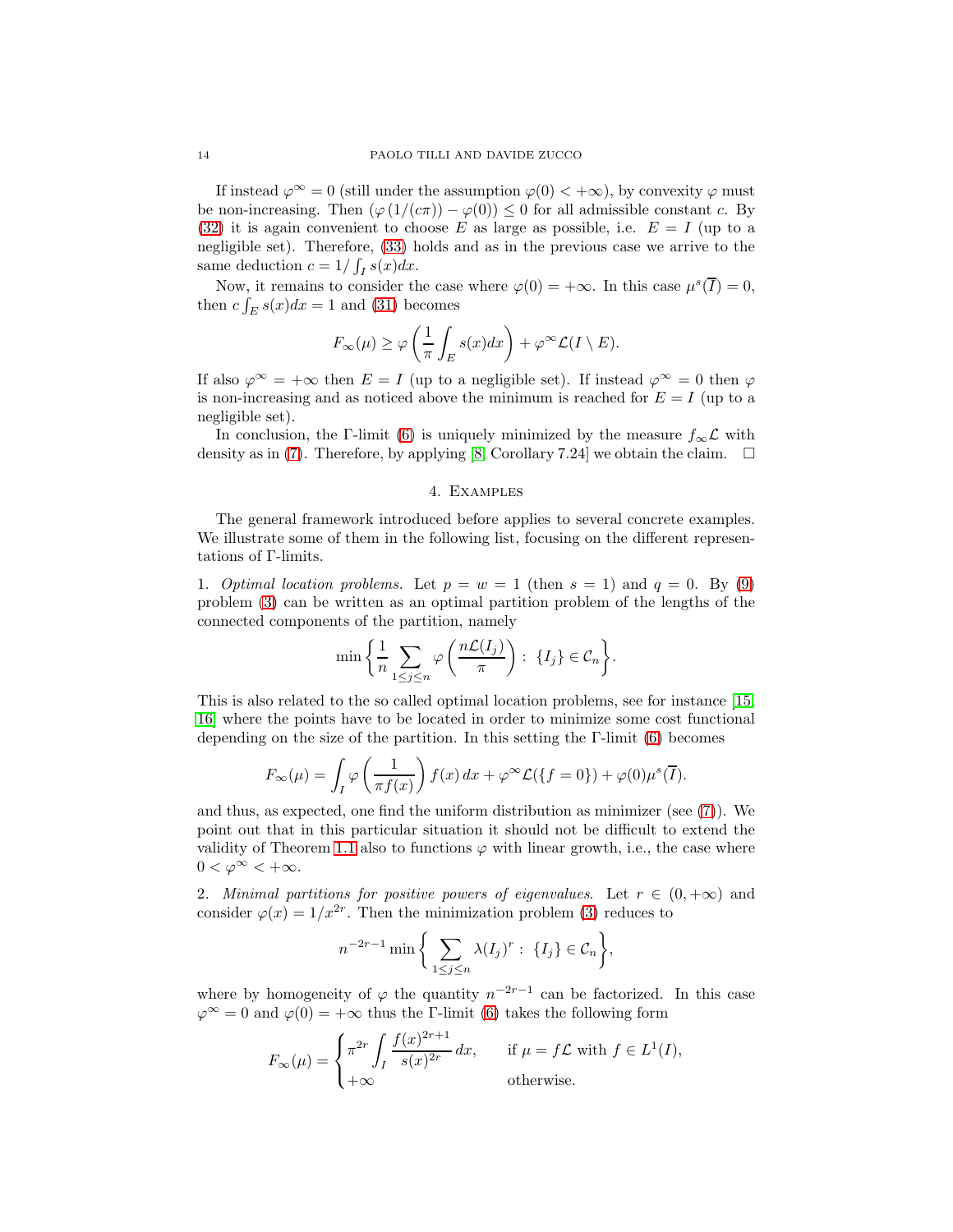If instead  $\varphi^{\infty} = 0$  (still under the assumption  $\varphi(0) < +\infty$ ), by convexity  $\varphi$  must be non-increasing. Then  $(\varphi(1/(c\pi)) - \varphi(0)) \leq 0$  for all admissible constant c. By (32) it is again convenient to choose E as large as possible, i.e.  $E = I$  (up to a negligible set). Therefore, (33) holds and as in the previous case we arrive to the same deduction  $c = 1/\int_I s(x) dx$ .

Now, it remains to consider the case where  $\varphi(0) = +\infty$ . In this case  $\mu^{s}(\overline{I}) = 0$ , then  $c \int_E s(x) dx = 1$  and (31) becomes

$$
F_{\infty}(\mu) \ge \varphi\left(\frac{1}{\pi} \int_{E} s(x) dx\right) + \varphi^{\infty} \mathcal{L}(I \setminus E).
$$

If also  $\varphi^{\infty} = +\infty$  then  $E = I$  (up to a negligible set). If instead  $\varphi^{\infty} = 0$  then  $\varphi$ is non-increasing and as noticed above the minimum is reached for  $E = I$  (up to a negligible set).

In conclusion, the Γ-limit (6) is uniquely minimized by the measure  $f_{\infty} \mathcal{L}$  with density as in (7). Therefore, by applying [8, Corollary 7.24] we obtain the claim.  $\square$ 

### 4. Examples

The general framework introduced before applies to several concrete examples. We illustrate some of them in the following list, focusing on the different representations of Γ-limits.

1. Optimal location problems. Let  $p = w = 1$  (then  $s = 1$ ) and  $q = 0$ . By (9) problem (3) can be written as an optimal partition problem of the lengths of the connected components of the partition, namely

$$
\min\bigg\{\frac{1}{n}\sum_{1\leq j\leq n}\varphi\left(\frac{n\mathcal{L}(I_j)}{\pi}\right): \ \{I_j\}\in\mathcal{C}_n\bigg\}.
$$

This is also related to the so called optimal location problems, see for instance [15, 16] where the points have to be located in order to minimize some cost functional depending on the size of the partition. In this setting the Γ-limit (6) becomes

$$
F_{\infty}(\mu) = \int_{I} \varphi\left(\frac{1}{\pi f(x)}\right) f(x) dx + \varphi^{\infty} \mathcal{L}(\lbrace f = 0 \rbrace) + \varphi(0) \mu^{s}(\overline{I}).
$$

and thus, as expected, one find the uniform distribution as minimizer (see (7)). We point out that in this particular situation it should not be difficult to extend the validity of Theorem 1.1 also to functions  $\varphi$  with linear growth, i.e., the case where  $0 < \varphi^{\infty} < +\infty$ .

2. Minimal partitions for positive powers of eigenvalues. Let  $r \in (0, +\infty)$  and consider  $\varphi(x) = 1/x^{2r}$ . Then the minimization problem (3) reduces to

$$
n^{-2r-1} \min \bigg\{ \sum_{1 \le j \le n} \lambda(I_j)^r : \ \{I_j\} \in \mathcal{C}_n \bigg\},\
$$

where by homogeneity of  $\varphi$  the quantity  $n^{-2r-1}$  can be factorized. In this case  $\varphi^{\infty} = 0$  and  $\varphi(0) = +\infty$  thus the Γ-limit (6) takes the following form

$$
F_{\infty}(\mu) = \begin{cases} \pi^{2r} \int_I \frac{f(x)^{2r+1}}{s(x)^{2r}} dx, & \text{if } \mu = f\mathcal{L} \text{ with } f \in L^1(I), \\ +\infty & \text{otherwise.} \end{cases}
$$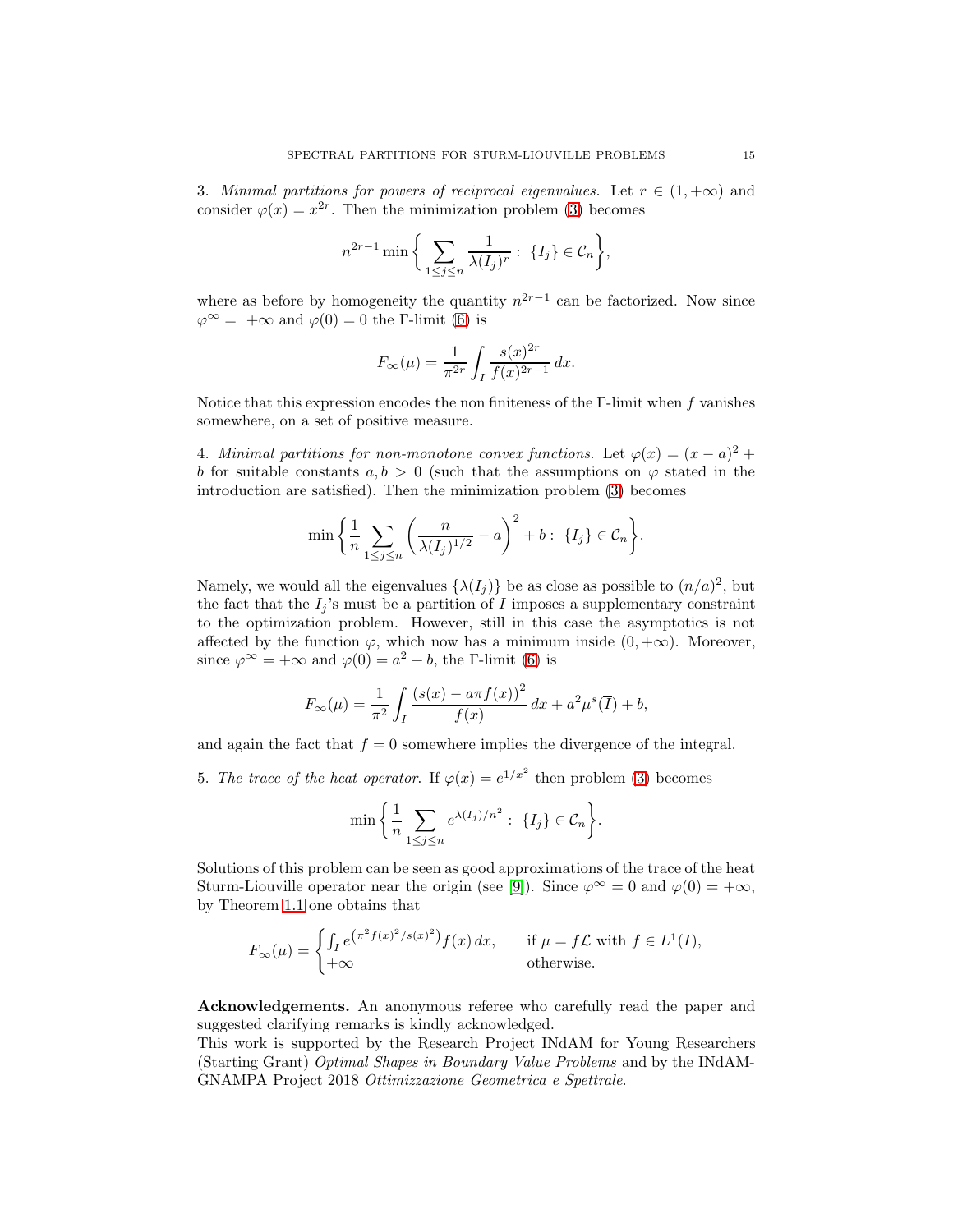3. Minimal partitions for powers of reciprocal eigenvalues. Let  $r \in (1, +\infty)$  and consider  $\varphi(x) = x^{2r}$ . Then the minimization problem (3) becomes

$$
n^{2r-1} \min \bigg\{ \sum_{1 \le j \le n} \frac{1}{\lambda(I_j)^r} : \ \{I_j\} \in \mathcal{C}_n \bigg\},
$$

where as before by homogeneity the quantity  $n^{2r-1}$  can be factorized. Now since  $\varphi^{\infty} = +\infty$  and  $\varphi(0) = 0$  the Γ-limit (6) is

$$
F_{\infty}(\mu) = \frac{1}{\pi^{2r}} \int_{I} \frac{s(x)^{2r}}{f(x)^{2r-1}} dx.
$$

Notice that this expression encodes the non finiteness of the  $\Gamma$ -limit when f vanishes somewhere, on a set of positive measure.

4. Minimal partitions for non-monotone convex functions. Let  $\varphi(x) = (x - a)^2 +$ b for suitable constants  $a, b > 0$  (such that the assumptions on  $\varphi$  stated in the introduction are satisfied). Then the minimization problem (3) becomes

$$
\min\bigg\{\frac{1}{n}\sum_{1\leq j\leq n}\bigg(\frac{n}{\lambda(I_j)^{1/2}}-a\bigg)^2+b:\ \{I_j\}\in\mathcal{C}_n\bigg\}.
$$

Namely, we would all the eigenvalues  $\{\lambda(I_j)\}\)$  be as close as possible to  $(n/a)^2$ , but the fact that the  $I_j$ 's must be a partition of  $I$  imposes a supplementary constraint to the optimization problem. However, still in this case the asymptotics is not affected by the function  $\varphi$ , which now has a minimum inside  $(0, +\infty)$ . Moreover, since  $\varphi^{\infty} = +\infty$  and  $\varphi(0) = a^2 + b$ , the *Γ*-limit (6) is

$$
F_{\infty}(\mu) = \frac{1}{\pi^2} \int_I \frac{(s(x) - a\pi f(x))^2}{f(x)} dx + a^2 \mu^s(\overline{I}) + b,
$$

and again the fact that  $f = 0$  somewhere implies the divergence of the integral.

5. The trace of the heat operator. If  $\varphi(x) = e^{1/x^2}$  then problem (3) becomes

$$
\min\bigg\{\frac{1}{n}\sum_{1\leq j\leq n}e^{\lambda(I_j)/n^2}:\ \{I_j\}\in\mathcal{C}_n\bigg\}.
$$

Solutions of this problem can be seen as good approximations of the trace of the heat Sturm-Liouville operator near the origin (see [9]). Since  $\varphi^{\infty} = 0$  and  $\varphi(0) = +\infty$ , by Theorem 1.1 one obtains that

$$
F_{\infty}(\mu) = \begin{cases} \int_I e^{(\pi^2 f(x)^2/s(x)^2)} f(x) dx, & \text{if } \mu = f\mathcal{L} \text{ with } f \in L^1(I),\\ +\infty & \text{otherwise.} \end{cases}
$$

Acknowledgements. An anonymous referee who carefully read the paper and suggested clarifying remarks is kindly acknowledged.

This work is supported by the Research Project INdAM for Young Researchers (Starting Grant) Optimal Shapes in Boundary Value Problems and by the INdAM-GNAMPA Project 2018 Ottimizzazione Geometrica e Spettrale.